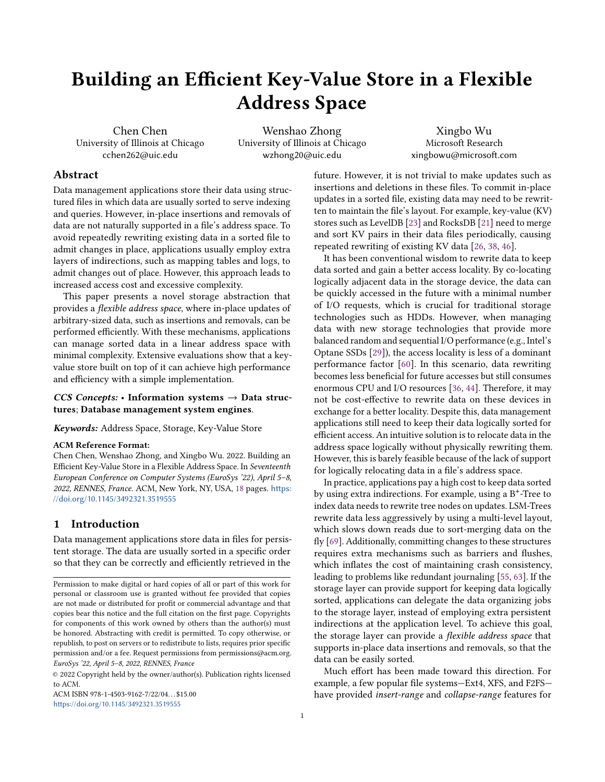# Building an Efficient Key-Value Store in a Flexible Address Space

Chen Chen University of Illinois at Chicago cchen262@uic.edu

Wenshao Zhong University of Illinois at Chicago wzhong20@uic.edu

Xingbo Wu Microsoft Research xingbowu@microsoft.com

# Abstract

Data management applications store their data using structured files in which data are usually sorted to serve indexing and queries. However, in-place insertions and removals of data are not naturally supported in a file's address space. To avoid repeatedly rewriting existing data in a sorted file to admit changes in place, applications usually employ extra layers of indirections, such as mapping tables and logs, to admit changes out of place. However, this approach leads to increased access cost and excessive complexity.

This paper presents a novel storage abstraction that provides a flexible address space, where in-place updates of arbitrary-sized data, such as insertions and removals, can be performed efficiently. With these mechanisms, applications can manage sorted data in a linear address space with minimal complexity. Extensive evaluations show that a keyvalue store built on top of it can achieve high performance and efficiency with a simple implementation.

# CCS Concepts: • Information systems  $\rightarrow$  Data structures; Database management system engines.

Keywords: Address Space, Storage, Key-Value Store

#### ACM Reference Format:

Chen Chen, Wenshao Zhong, and Xingbo Wu. 2022. Building an Efficient Key-Value Store in a Flexible Address Space. In Seventeenth European Conference on Computer Systems (EuroSys '22), April 5–8, 2022, RENNES, France. ACM, New York, NY, USA, [18](#page-17-0) pages. [https:](https://doi.org/10.1145/3492321.3519555) [//doi.org/10.1145/3492321.3519555](https://doi.org/10.1145/3492321.3519555)

# 1 Introduction

Data management applications store data in files for persistent storage. The data are usually sorted in a specific order so that they can be correctly and efficiently retrieved in the

ACM ISBN 978-1-4503-9162-7/22/04 \$15.00 <https://doi.org/10.1145/3492321.3519555>

future. However, it is not trivial to make updates such as insertions and deletions in these files. To commit in-place updates in a sorted file, existing data may need to be rewritten to maintain the file's layout. For example, key-value (KV) stores such as LevelDB [\[23\]](#page-14-0) and RocksDB [\[21\]](#page-14-1) need to merge and sort KV pairs in their data files periodically, causing repeated rewriting of existing KV data [\[26,](#page-14-2) [38,](#page-15-0) [46\]](#page-15-1).

It has been conventional wisdom to rewrite data to keep data sorted and gain a better access locality. By co-locating logically adjacent data in the storage device, the data can be quickly accessed in the future with a minimal number of I/O requests, which is crucial for traditional storage technologies such as HDDs. However, when managing data with new storage technologies that provide more balanced random and sequential I/O performance (e.g., Intel's Optane SSDs [\[29\]](#page-15-2)), the access locality is less of a dominant performance factor [\[60\]](#page-16-0). In this scenario, data rewriting becomes less beneficial for future accesses but still consumes enormous CPU and I/O resources [\[36,](#page-15-3) [44\]](#page-15-4). Therefore, it may not be cost-effective to rewrite data on these devices in exchange for a better locality. Despite this, data management applications still need to keep their data logically sorted for efficient access. An intuitive solution is to relocate data in the address space logically without physically rewriting them. However, this is barely feasible because of the lack of support for logically relocating data in a file's address space.

In practice, applications pay a high cost to keep data sorted by using extra indirections. For example, using a B<sup>+</sup>-Tree to index data needs to rewrite tree nodes on updates. LSM-Trees rewrite data less aggressively by using a multi-level layout, which slows down reads due to sort-merging data on the fly [\[69\]](#page-16-1). Additionally, committing changes to these structures requires extra mechanisms such as barriers and flushes, which inflates the cost of maintaining crash consistency, leading to problems like redundant journaling [\[55,](#page-15-5) [63\]](#page-16-2). If the storage layer can provide support for keeping data logically sorted, applications can delegate the data organizing jobs to the storage layer, instead of employing extra persistent indirections at the application level. To achieve this goal, the storage layer can provide a flexible address space that supports in-place data insertions and removals, so that the data can be easily sorted.

Much effort has been made toward this direction. For example, a few popular file systems—Ext4, XFS, and F2FS have provided insert-range and collapse-range features for

Permission to make digital or hard copies of all or part of this work for personal or classroom use is granted without fee provided that copies are not made or distributed for profit or commercial advantage and that copies bear this notice and the full citation on the first page. Copyrights for components of this work owned by others than the author(s) must be honored. Abstracting with credit is permitted. To copy otherwise, or republish, to post on servers or to redistribute to lists, requires prior specific permission and/or a fee. Request permissions from permissions@acm.org. EuroSys '22, April 5–8, 2022, RENNES, France

<sup>©</sup> 2022 Copyright held by the owner/author(s). Publication rights licensed to ACM.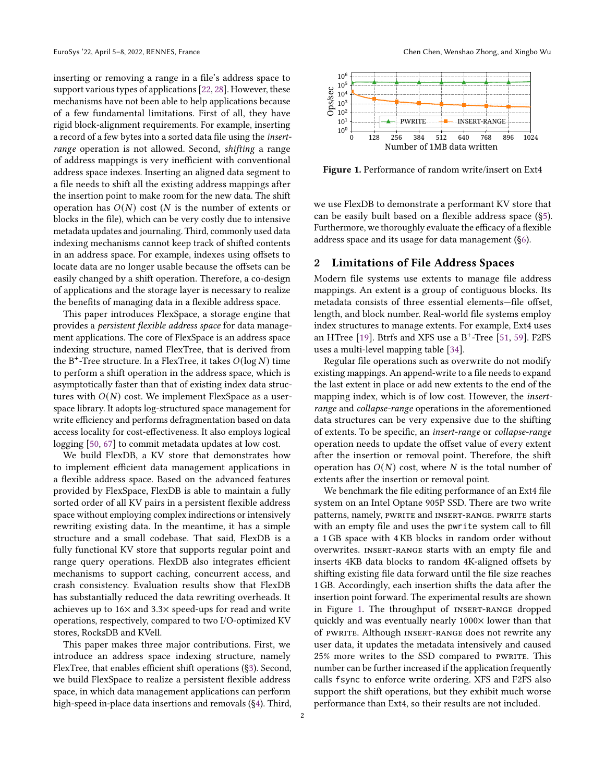inserting or removing a range in a file's address space to support various types of applications [\[22,](#page-14-3) [28\]](#page-15-6). However, these mechanisms have not been able to help applications because of a few fundamental limitations. First of all, they have rigid block-alignment requirements. For example, inserting a record of a few bytes into a sorted data file using the insertrange operation is not allowed. Second, shifting a range of address mappings is very inefficient with conventional address space indexes. Inserting an aligned data segment to a file needs to shift all the existing address mappings after the insertion point to make room for the new data. The shift operation has  $O(N)$  cost (N is the number of extents or blocks in the file), which can be very costly due to intensive metadata updates and journaling. Third, commonly used data indexing mechanisms cannot keep track of shifted contents in an address space. For example, indexes using offsets to locate data are no longer usable because the offsets can be easily changed by a shift operation. Therefore, a co-design of applications and the storage layer is necessary to realize the benefits of managing data in a flexible address space.

This paper introduces FlexSpace, a storage engine that provides a persistent flexible address space for data management applications. The core of FlexSpace is an address space indexing structure, named FlexTree, that is derived from the B<sup>+</sup>-Tree structure. In a FlexTree, it takes  $O(\log N)$  time to perform a shift operation in the address space, which is asymptotically faster than that of existing index data structures with  $O(N)$  cost. We implement FlexSpace as a userspace library. It adopts log-structured space management for write efficiency and performs defragmentation based on data access locality for cost-effectiveness. It also employs logical logging [\[50,](#page-15-7) [67\]](#page-16-3) to commit metadata updates at low cost.

We build FlexDB, a KV store that demonstrates how to implement efficient data management applications in a flexible address space. Based on the advanced features provided by FlexSpace, FlexDB is able to maintain a fully sorted order of all KV pairs in a persistent flexible address space without employing complex indirections or intensively rewriting existing data. In the meantime, it has a simple structure and a small codebase. That said, FlexDB is a fully functional KV store that supports regular point and range query operations. FlexDB also integrates efficient mechanisms to support caching, concurrent access, and crash consistency. Evaluation results show that FlexDB has substantially reduced the data rewriting overheads. It achieves up to 16× and 3.3× speed-ups for read and write operations, respectively, compared to two I/O-optimized KV stores, RocksDB and KVell.

This paper makes three major contributions. First, we introduce an address space indexing structure, namely FlexTree, that enables efficient shift operations ([§3\)](#page-2-0). Second, we build FlexSpace to realize a persistent flexible address space, in which data management applications can perform high-speed in-place data insertions and removals ([§4\)](#page-4-0). Third,

<span id="page-1-0"></span>

Figure 1. Performance of random write/insert on Ext4

we use FlexDB to demonstrate a performant KV store that can be easily built based on a flexible address space ([§5\)](#page-6-0). Furthermore, we thoroughly evaluate the efficacy of a flexible address space and its usage for data management ([§6\)](#page-7-0).

# <span id="page-1-1"></span>2 Limitations of File Address Spaces

Modern file systems use extents to manage file address mappings. An extent is a group of contiguous blocks. Its metadata consists of three essential elements—file offset, length, and block number. Real-world file systems employ index structures to manage extents. For example, Ext4 uses an HTree [\[19\]](#page-14-4). Btrfs and XFS use a  $B^+$ -Tree [\[51,](#page-15-8) [59\]](#page-16-4). F2FS uses a multi-level mapping table [\[34\]](#page-15-9).

Regular file operations such as overwrite do not modify existing mappings. An append-write to a file needs to expand the last extent in place or add new extents to the end of the mapping index, which is of low cost. However, the insertrange and collapse-range operations in the aforementioned data structures can be very expensive due to the shifting of extents. To be specific, an insert-range or collapse-range operation needs to update the offset value of every extent after the insertion or removal point. Therefore, the shift operation has  $O(N)$  cost, where N is the total number of extents after the insertion or removal point.

We benchmark the file editing performance of an Ext4 file system on an Intel Optane 905P SSD. There are two write patterns, namely, PWRITE and INSERT-RANGE. PWRITE starts with an empty file and uses the pwrite system call to fill a 1 GB space with 4 KB blocks in random order without overwrites. insert-range starts with an empty file and inserts 4KB data blocks to random 4K-aligned offsets by shifting existing file data forward until the file size reaches 1 GB. Accordingly, each insertion shifts the data after the insertion point forward. The experimental results are shown in Figure [1.](#page-1-0) The throughput of INSERT-RANGE dropped quickly and was eventually nearly 1000× lower than that of pwrite. Although insert-range does not rewrite any user data, it updates the metadata intensively and caused 25% more writes to the SSD compared to PWRITE. This number can be further increased if the application frequently calls fsync to enforce write ordering. XFS and F2FS also support the shift operations, but they exhibit much worse performance than Ext4, so their results are not included.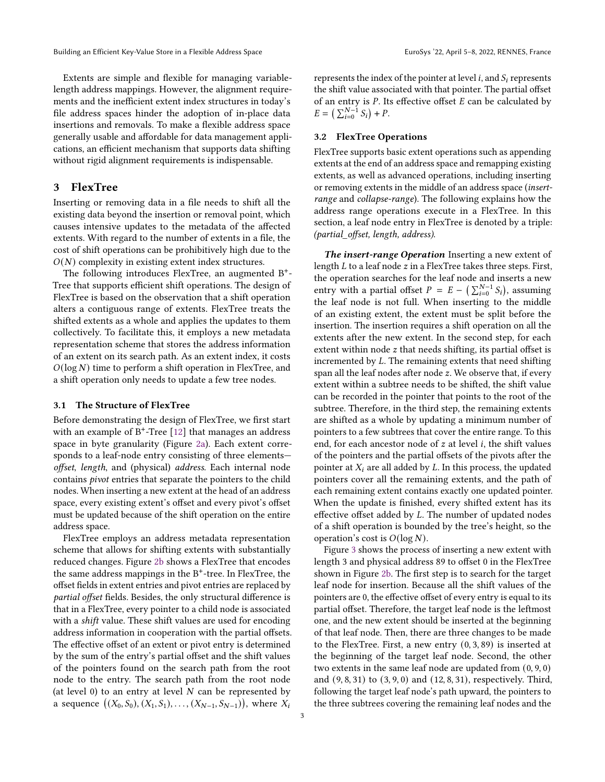Extents are simple and flexible for managing variablelength address mappings. However, the alignment requirements and the inefficient extent index structures in today's file address spaces hinder the adoption of in-place data insertions and removals. To make a flexible address space generally usable and affordable for data management applications, an efficient mechanism that supports data shifting without rigid alignment requirements is indispensable.

# <span id="page-2-0"></span>3 FlexTree

Inserting or removing data in a file needs to shift all the existing data beyond the insertion or removal point, which causes intensive updates to the metadata of the affected extents. With regard to the number of extents in a file, the cost of shift operations can be prohibitively high due to the  $O(N)$  complexity in existing extent index structures.

The following introduces FlexTree, an augmented B<sup>+</sup>-Tree that supports efficient shift operations. The design of FlexTree is based on the observation that a shift operation alters a contiguous range of extents. FlexTree treats the shifted extents as a whole and applies the updates to them collectively. To facilitate this, it employs a new metadata representation scheme that stores the address information of an extent on its search path. As an extent index, it costs  $O(log N)$  time to perform a shift operation in FlexTree, and a shift operation only needs to update a few tree nodes.

#### 3.1 The Structure of FlexTree

Before demonstrating the design of FlexTree, we first start with an example of  $B^+$ -Tree [\[12\]](#page-14-5) that manages an address space in byte granularity (Figure [2a\)](#page-3-0). Each extent corresponds to a leaf-node entry consisting of three elements offset, length, and (physical) address. Each internal node contains pivot entries that separate the pointers to the child nodes. When inserting a new extent at the head of an address space, every existing extent's offset and every pivot's offset must be updated because of the shift operation on the entire address space.

FlexTree employs an address metadata representation scheme that allows for shifting extents with substantially reduced changes. Figure [2b](#page-3-0) shows a FlexTree that encodes the same address mappings in the B<sup>+</sup>-tree. In FlexTree, the offset fields in extent entries and pivot entries are replaced by partial offset fields. Besides, the only structural difference is that in a FlexTree, every pointer to a child node is associated with a shift value. These shift values are used for encoding address information in cooperation with the partial offsets. The effective offset of an extent or pivot entry is determined by the sum of the entry's partial offset and the shift values of the pointers found on the search path from the root node to the entry. The search path from the root node (at level  $0$ ) to an entry at level  $N$  can be represented by a sequence  $((X_0, S_0), (X_1, S_1), \ldots, (X_{N-1}, S_{N-1}))$ , where  $X_i$ 

represents the index of the pointer at level  $i$ , and  $S_i$  represents the shift value associated with that pointer. The partial offset of an entry is  $P$ . Its effective offset  $E$  can be calculated by  $E = \left( \sum_{i=0}^{N-1} S_i \right) + P.$ 

#### 3.2 FlexTree Operations

FlexTree supports basic extent operations such as appending extents at the end of an address space and remapping existing extents, as well as advanced operations, including inserting or removing extents in the middle of an address space (insertrange and collapse-range). The following explains how the address range operations execute in a FlexTree. In this section, a leaf node entry in FlexTree is denoted by a triple: (partial\_offset, length, address).

The insert-range Operation Inserting a new extent of length  $L$  to a leaf node  $z$  in a FlexTree takes three steps. First, the operation searches for the leaf node and inserts a new entry with a partial offset  $P = E - (\sum_{i=0}^{N-1} S_i)$ , assuming the leaf node is not full. When inserting to the middle of an existing extent, the extent must be split before the insertion. The insertion requires a shift operation on all the extents after the new extent. In the second step, for each extent within node  $z$  that needs shifting, its partial offset is incremented by  $L$ . The remaining extents that need shifting span all the leaf nodes after node  $z$ . We observe that, if every extent within a subtree needs to be shifted, the shift value can be recorded in the pointer that points to the root of the subtree. Therefore, in the third step, the remaining extents are shifted as a whole by updating a minimum number of pointers to a few subtrees that cover the entire range. To this end, for each ancestor node of  $z$  at level  $i$ , the shift values of the pointers and the partial offsets of the pivots after the pointer at  $X_i$  are all added by  $L$ . In this process, the updated pointers cover all the remaining extents, and the path of each remaining extent contains exactly one updated pointer. When the update is finished, every shifted extent has its effective offset added by L. The number of updated nodes of a shift operation is bounded by the tree's height, so the operation's cost is  $O(\log N)$ .

Figure [3](#page-3-1) shows the process of inserting a new extent with length 3 and physical address 89 to offset 0 in the FlexTree shown in Figure [2b.](#page-3-0) The first step is to search for the target leaf node for insertion. Because all the shift values of the pointers are 0, the effective offset of every entry is equal to its partial offset. Therefore, the target leaf node is the leftmost one, and the new extent should be inserted at the beginning of that leaf node. Then, there are three changes to be made to the FlexTree. First, a new entry (0, 3, 89) is inserted at the beginning of the target leaf node. Second, the other two extents in the same leaf node are updated from (0, 9, 0) and (9, 8, 31) to (3, 9, 0) and (12, 8, 31), respectively. Third, following the target leaf node's path upward, the pointers to the three subtrees covering the remaining leaf nodes and the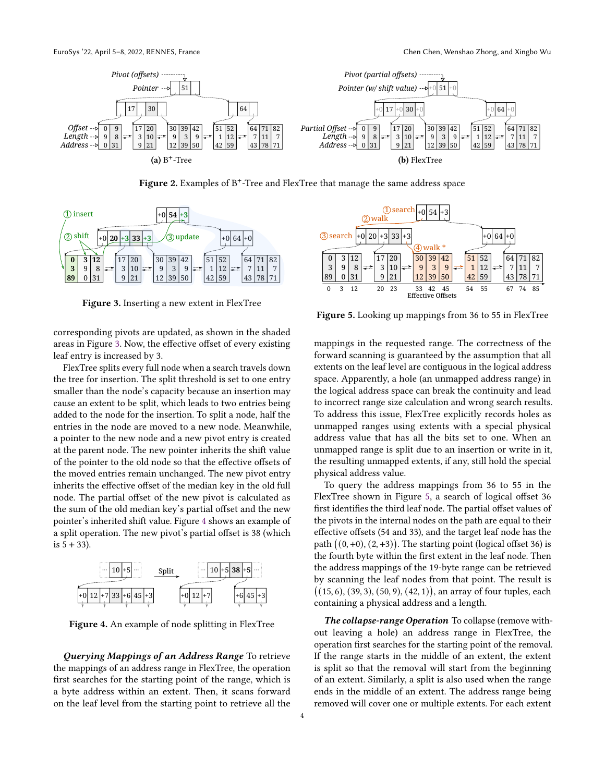<span id="page-3-0"></span>

Figure 2. Examples of  $B^+$ -Tree and FlexTree that manage the same address space

<span id="page-3-1"></span>

Figure 3. Inserting a new extent in FlexTree

corresponding pivots are updated, as shown in the shaded areas in Figure [3.](#page-3-1) Now, the effective offset of every existing leaf entry is increased by 3.

FlexTree splits every full node when a search travels down the tree for insertion. The split threshold is set to one entry smaller than the node's capacity because an insertion may cause an extent to be split, which leads to two entries being added to the node for the insertion. To split a node, half the entries in the node are moved to a new node. Meanwhile, a pointer to the new node and a new pivot entry is created at the parent node. The new pointer inherits the shift value of the pointer to the old node so that the effective offsets of the moved entries remain unchanged. The new pivot entry inherits the effective offset of the median key in the old full node. The partial offset of the new pivot is calculated as the sum of the old median key's partial offset and the new pointer's inherited shift value. Figure [4](#page-3-2) shows an example of a split operation. The new pivot's partial offset is 38 (which is  $5 + 33$ ). **19 19 19 EVEL TERN CONSERVATION (199 CONSERVATION (199 CONSERVATION (199 CONSERVATION (199 CONSERVATION (199 CONSERVATION (199 CONSERVATION (199 CONSERVATION (199 CONSERVATION (199 CONSERVATI** 

<span id="page-3-2"></span>

Figure 4. An example of node splitting in FlexTree

Querying Mappings of an Address Range To retrieve the mappings of an address range in FlexTree, the operation first searches for the starting point of the range, which is a byte address within an extent. Then, it scans forward

<span id="page-3-3"></span>

Figure 5. Looking up mappings from 36 to 55 in FlexTree

mappings in the requested range. The correctness of the forward scanning is guaranteed by the assumption that all extents on the leaf level are contiguous in the logical address space. Apparently, a hole (an unmapped address range) in the logical address space can break the continuity and lead to incorrect range size calculation and wrong search results. To address this issue, FlexTree explicitly records holes as unmapped ranges using extents with a special physical address value that has all the bits set to one. When an unmapped range is split due to an insertion or write in it, the resulting unmapped extents, if any, still hold the special physical address value.

To query the address mappings from 36 to 55 in the FlexTree shown in Figure [5,](#page-3-3) a search of logical offset 36 first identifies the third leaf node. The partial offset values of the pivots in the internal nodes on the path are equal to their effective offsets (54 and 33), and the target leaf node has the path  $((0, +0), (2, +3))$ . The starting point (logical offset 36) is the fourth byte within the first extent in the leaf node. Then the address mappings of the 19-byte range can be retrieved by scanning the leaf nodes from that point. The result is  $((15, 6), (39, 3), (50, 9), (42, 1)),$  an array of four tuples, each containing a physical address and a length.

The collapse-range Operation To collapse (remove without leaving a hole) an address range in FlexTree, the operation first searches for the starting point of the removal. If the range starts in the middle of an extent, the extent is split so that the removal will start from the beginning of an extent. Similarly, a split is also used when the range ends in the middle of an extent. The address range being removed will cover one or multiple extents. For each extent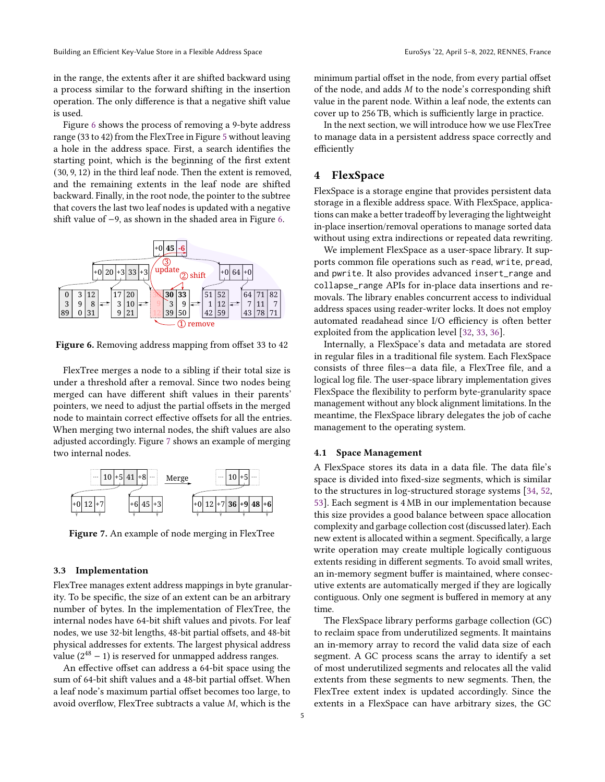in the range, the extents after it are shifted backward using a process similar to the forward shifting in the insertion operation. The only difference is that a negative shift value is used.

Figure [6](#page-4-1) shows the process of removing a 9-byte address range (33 to 42) from the FlexTree in Figure [5](#page-3-3) without leaving a hole in the address space. First, a search identifies the starting point, which is the beginning of the first extent (30, 9, 12) in the third leaf node. Then the extent is removed, and the remaining extents in the leaf node are shifted backward. Finally, in the root node, the pointer to the subtree that covers the last two leaf nodes is updated with a negative shift value of −9, as shown in the shaded area in Figure [6.](#page-4-1)

<span id="page-4-1"></span>

Figure 6. Removing address mapping from offset 33 to 42

FlexTree merges a node to a sibling if their total size is under a threshold after a removal. Since two nodes being merged can have different shift values in their parents' pointers, we need to adjust the partial offsets in the merged node to maintain correct effective offsets for all the entries. When merging two internal nodes, the shift values are also adjusted accordingly. Figure [7](#page-4-2) shows an example of merging two internal nodes.

<span id="page-4-2"></span>

Figure 7. An example of node merging in FlexTree

#### 3.3 Implementation

FlexTree manages extent address mappings in byte granularity. To be specific, the size of an extent can be an arbitrary number of bytes. In the implementation of FlexTree, the internal nodes have 64-bit shift values and pivots. For leaf nodes, we use 32-bit lengths, 48-bit partial offsets, and 48-bit physical addresses for extents. The largest physical address value  $(2^{48} - 1)$  is reserved for unmapped address ranges.

An effective offset can address a 64-bit space using the sum of 64-bit shift values and a 48-bit partial offset. When a leaf node's maximum partial offset becomes too large, to avoid overflow, FlexTree subtracts a value  $M$ , which is the minimum partial offset in the node, from every partial offset of the node, and adds  $M$  to the node's corresponding shift value in the parent node. Within a leaf node, the extents can cover up to 256 TB, which is sufficiently large in practice.

In the next section, we will introduce how we use FlexTree to manage data in a persistent address space correctly and efficiently

# <span id="page-4-0"></span>4 FlexSpace

FlexSpace is a storage engine that provides persistent data storage in a flexible address space. With FlexSpace, applications can make a better tradeoff by leveraging the lightweight in-place insertion/removal operations to manage sorted data without using extra indirections or repeated data rewriting.

We implement FlexSpace as a user-space library. It supports common file operations such as read, write, pread, and pwrite. It also provides advanced insert\_range and collapse\_range APIs for in-place data insertions and removals. The library enables concurrent access to individual address spaces using reader-writer locks. It does not employ automated readahead since I/O efficiency is often better exploited from the application level [\[32,](#page-15-10) [33,](#page-15-11) [36\]](#page-15-3).

Internally, a FlexSpace's data and metadata are stored in regular files in a traditional file system. Each FlexSpace consists of three files—a data file, a FlexTree file, and a logical log file. The user-space library implementation gives FlexSpace the flexibility to perform byte-granularity space management without any block alignment limitations. In the meantime, the FlexSpace library delegates the job of cache management to the operating system.

#### <span id="page-4-3"></span>4.1 Space Management

A FlexSpace stores its data in a data file. The data file's space is divided into fixed-size segments, which is similar to the structures in log-structured storage systems [\[34,](#page-15-9) [52,](#page-15-12) [53\]](#page-15-13). Each segment is 4 MB in our implementation because this size provides a good balance between space allocation complexity and garbage collection cost (discussed later). Each new extent is allocated within a segment. Specifically, a large write operation may create multiple logically contiguous extents residing in different segments. To avoid small writes, an in-memory segment buffer is maintained, where consecutive extents are automatically merged if they are logically contiguous. Only one segment is buffered in memory at any time.

The FlexSpace library performs garbage collection (GC) to reclaim space from underutilized segments. It maintains an in-memory array to record the valid data size of each segment. A GC process scans the array to identify a set of most underutilized segments and relocates all the valid extents from these segments to new segments. Then, the FlexTree extent index is updated accordingly. Since the extents in a FlexSpace can have arbitrary sizes, the GC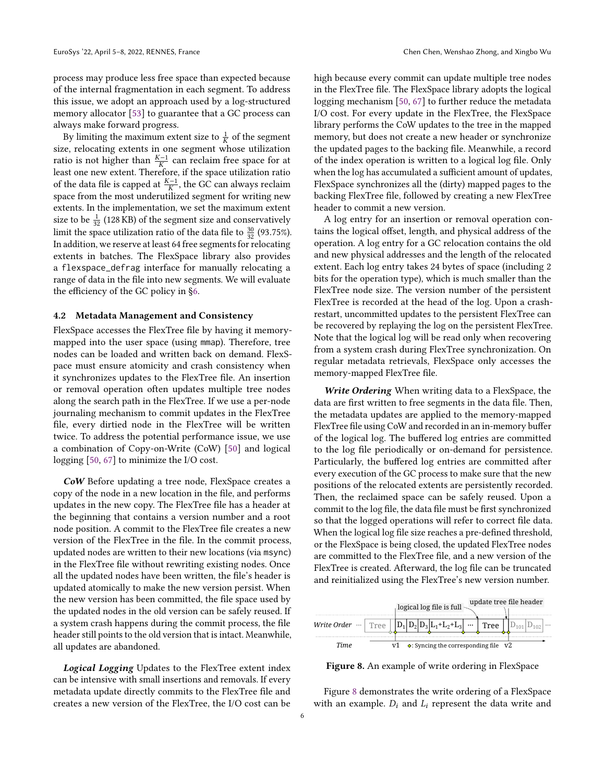process may produce less free space than expected because of the internal fragmentation in each segment. To address this issue, we adopt an approach used by a log-structured memory allocator [\[53\]](#page-15-13) to guarantee that a GC process can always make forward progress.

By limiting the maximum extent size to  $\frac{1}{K}$  of the segment size, relocating extents in one segment whose utilization ratio is not higher than  $\frac{K-1}{K}$  can reclaim free space for at least one new extent. Therefore, if the space utilization ratio of the data file is capped at  $\frac{K-1}{K}$ , the GC can always reclaim space from the most underutilized segment for writing new extents. In the implementation, we set the maximum extent size to be  $\frac{1}{32}$  (128 KB) of the segment size and conservatively limit the space utilization ratio of the data file to  $\frac{30}{32}$  (93.75%). In addition, we reserve at least 64 free segments for relocating extents in batches. The FlexSpace library also provides a flexspace\_defrag interface for manually relocating a range of data in the file into new segments. We will evaluate the efficiency of the GC policy in [§6.](#page-7-0)

#### 4.2 Metadata Management and Consistency

FlexSpace accesses the FlexTree file by having it memorymapped into the user space (using mmap). Therefore, tree nodes can be loaded and written back on demand. FlexSpace must ensure atomicity and crash consistency when it synchronizes updates to the FlexTree file. An insertion or removal operation often updates multiple tree nodes along the search path in the FlexTree. If we use a per-node journaling mechanism to commit updates in the FlexTree file, every dirtied node in the FlexTree will be written twice. To address the potential performance issue, we use a combination of Copy-on-Write (CoW) [\[50\]](#page-15-7) and logical logging [\[50,](#page-15-7) [67\]](#page-16-3) to minimize the I/O cost.

CoW Before updating a tree node, FlexSpace creates a copy of the node in a new location in the file, and performs updates in the new copy. The FlexTree file has a header at the beginning that contains a version number and a root node position. A commit to the FlexTree file creates a new version of the FlexTree in the file. In the commit process, updated nodes are written to their new locations (via msync) in the FlexTree file without rewriting existing nodes. Once all the updated nodes have been written, the file's header is updated atomically to make the new version persist. When the new version has been committed, the file space used by the updated nodes in the old version can be safely reused. If a system crash happens during the commit process, the file header still points to the old version that is intact. Meanwhile, all updates are abandoned.

Logical Logging Updates to the FlexTree extent index can be intensive with small insertions and removals. If every metadata update directly commits to the FlexTree file and creates a new version of the FlexTree, the I/O cost can be

high because every commit can update multiple tree nodes in the FlexTree file. The FlexSpace library adopts the logical logging mechanism [\[50,](#page-15-7) [67\]](#page-16-3) to further reduce the metadata I/O cost. For every update in the FlexTree, the FlexSpace library performs the CoW updates to the tree in the mapped memory, but does not create a new header or synchronize the updated pages to the backing file. Meanwhile, a record of the index operation is written to a logical log file. Only when the log has accumulated a sufficient amount of updates, FlexSpace synchronizes all the (dirty) mapped pages to the backing FlexTree file, followed by creating a new FlexTree header to commit a new version.

A log entry for an insertion or removal operation contains the logical offset, length, and physical address of the operation. A log entry for a GC relocation contains the old and new physical addresses and the length of the relocated extent. Each log entry takes 24 bytes of space (including 2 bits for the operation type), which is much smaller than the FlexTree node size. The version number of the persistent FlexTree is recorded at the head of the log. Upon a crashrestart, uncommitted updates to the persistent FlexTree can be recovered by replaying the log on the persistent FlexTree. Note that the logical log will be read only when recovering from a system crash during FlexTree synchronization. On regular metadata retrievals, FlexSpace only accesses the memory-mapped FlexTree file.

Write Ordering When writing data to a FlexSpace, the data are first written to free segments in the data file. Then, the metadata updates are applied to the memory-mapped FlexTree file using CoW and recorded in an in-memory buffer of the logical log. The buffered log entries are committed to the log file periodically or on-demand for persistence. Particularly, the buffered log entries are committed after every execution of the GC process to make sure that the new positions of the relocated extents are persistently recorded. Then, the reclaimed space can be safely reused. Upon a commit to the log file, the data file must be first synchronized so that the logged operations will refer to correct file data. When the logical log file size reaches a pre-defined threshold, or the FlexSpace is being closed, the updated FlexTree nodes are committed to the FlexTree file, and a new version of the FlexTree is created. Afterward, the log file can be truncated and reinitialized using the FlexTree's new version number.

<span id="page-5-0"></span>

Figure 8. An example of write ordering in FlexSpace

Figure [8](#page-5-0) demonstrates the write ordering of a FlexSpace with an example.  $D_i$  and  $L_i$  represent the data write and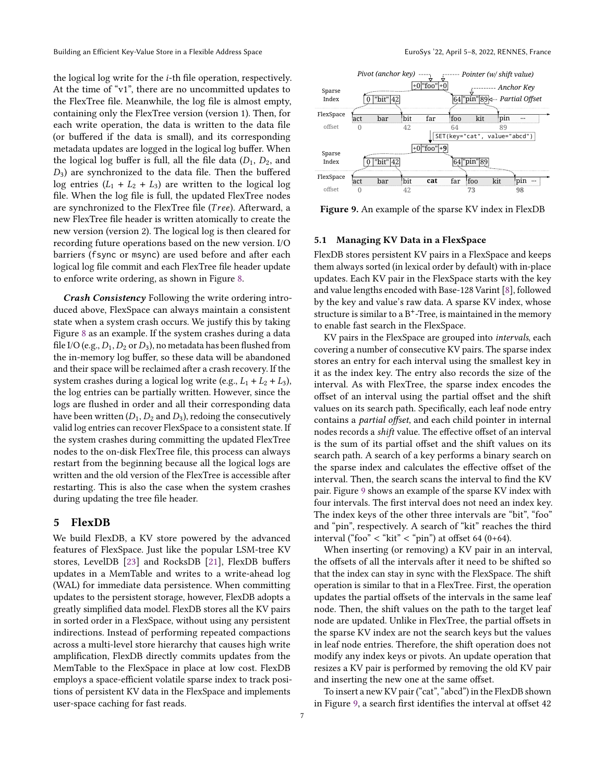the logical log write for the  $i$ -th file operation, respectively. At the time of "v1", there are no uncommitted updates to the FlexTree file. Meanwhile, the log file is almost empty, containing only the FlexTree version (version 1). Then, for each write operation, the data is written to the data file (or buffered if the data is small), and its corresponding metadata updates are logged in the logical log buffer. When the logical log buffer is full, all the file data  $(D_1, D_2,$  and  $D_3$ ) are synchronized to the data file. Then the buffered log entries  $(L_1 + L_2 + L_3)$  are written to the logical log file. When the log file is full, the updated FlexTree nodes are synchronized to the FlexTree file (Tree). Afterward, a new FlexTree file header is written atomically to create the new version (version 2). The logical log is then cleared for recording future operations based on the new version. I/O barriers (fsync or msync) are used before and after each logical log file commit and each FlexTree file header update to enforce write ordering, as shown in Figure [8.](#page-5-0)

Crash Consistency Following the write ordering introduced above, FlexSpace can always maintain a consistent state when a system crash occurs. We justify this by taking Figure [8](#page-5-0) as an example. If the system crashes during a data file I/O (e.g.,  $D_1, D_2$  or  $D_3$ ), no metadata has been flushed from the in-memory log buffer, so these data will be abandoned and their space will be reclaimed after a crash recovery. If the system crashes during a logical log write (e.g.,  $L_1 + L_2 + L_3$ ), the log entries can be partially written. However, since the logs are flushed in order and all their corresponding data have been written  $(D_1, D_2,$  and  $D_3$ ), redoing the consecutively valid log entries can recover FlexSpace to a consistent state. If the system crashes during committing the updated FlexTree nodes to the on-disk FlexTree file, this process can always restart from the beginning because all the logical logs are written and the old version of the FlexTree is accessible after restarting. This is also the case when the system crashes during updating the tree file header.

#### <span id="page-6-0"></span>5 FlexDB

We build FlexDB, a KV store powered by the advanced features of FlexSpace. Just like the popular LSM-tree KV stores, LevelDB [\[23\]](#page-14-0) and RocksDB [\[21\]](#page-14-1), FlexDB buffers updates in a MemTable and writes to a write-ahead log (WAL) for immediate data persistence. When committing updates to the persistent storage, however, FlexDB adopts a greatly simplified data model. FlexDB stores all the KV pairs in sorted order in a FlexSpace, without using any persistent indirections. Instead of performing repeated compactions across a multi-level store hierarchy that causes high write amplification, FlexDB directly commits updates from the MemTable to the FlexSpace in place at low cost. FlexDB employs a space-efficient volatile sparse index to track positions of persistent KV data in the FlexSpace and implements user-space caching for fast reads.

<span id="page-6-1"></span>

Figure 9. An example of the sparse KV index in FlexDB

## 5.1 Managing KV Data in a FlexSpace

FlexDB stores persistent KV pairs in a FlexSpace and keeps them always sorted (in lexical order by default) with in-place updates. Each KV pair in the FlexSpace starts with the key and value lengths encoded with Base-128 Varint [\[8\]](#page-14-6), followed by the key and value's raw data. A sparse KV index, whose structure is similar to a  $B^+$ -Tree, is maintained in the memory to enable fast search in the FlexSpace.

KV pairs in the FlexSpace are grouped into intervals, each covering a number of consecutive KV pairs. The sparse index stores an entry for each interval using the smallest key in it as the index key. The entry also records the size of the interval. As with FlexTree, the sparse index encodes the offset of an interval using the partial offset and the shift values on its search path. Specifically, each leaf node entry contains a partial offset, and each child pointer in internal nodes records a shift value. The effective offset of an interval is the sum of its partial offset and the shift values on its search path. A search of a key performs a binary search on the sparse index and calculates the effective offset of the interval. Then, the search scans the interval to find the KV pair. Figure [9](#page-6-1) shows an example of the sparse KV index with four intervals. The first interval does not need an index key. The index keys of the other three intervals are "bit", "foo" and "pin", respectively. A search of "kit" reaches the third interval ("foo"  $\langle$  "kit"  $\langle$  "pin") at offset 64 (0+64).

When inserting (or removing) a KV pair in an interval, the offsets of all the intervals after it need to be shifted so that the index can stay in sync with the FlexSpace. The shift operation is similar to that in a FlexTree. First, the operation updates the partial offsets of the intervals in the same leaf node. Then, the shift values on the path to the target leaf node are updated. Unlike in FlexTree, the partial offsets in the sparse KV index are not the search keys but the values in leaf node entries. Therefore, the shift operation does not modify any index keys or pivots. An update operation that resizes a KV pair is performed by removing the old KV pair and inserting the new one at the same offset.

To insert a new KV pair ("cat", "abcd") in the FlexDB shown in Figure [9,](#page-6-1) a search first identifies the interval at offset 42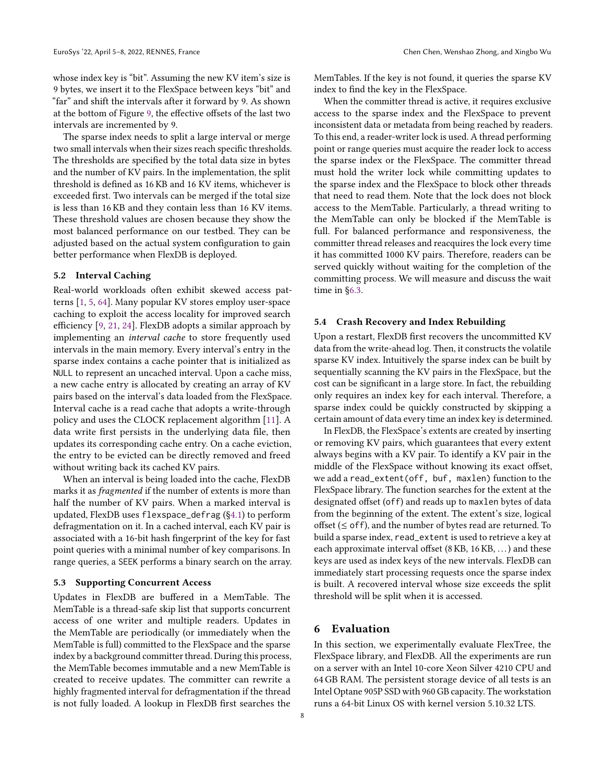whose index key is "bit". Assuming the new KV item's size is 9 bytes, we insert it to the FlexSpace between keys "bit" and "far" and shift the intervals after it forward by 9. As shown at the bottom of Figure [9,](#page-6-1) the effective offsets of the last two intervals are incremented by 9.

The sparse index needs to split a large interval or merge two small intervals when their sizes reach specific thresholds. The thresholds are specified by the total data size in bytes and the number of KV pairs. In the implementation, the split threshold is defined as 16 KB and 16 KV items, whichever is exceeded first. Two intervals can be merged if the total size is less than 16 KB and they contain less than 16 KV items. These threshold values are chosen because they show the most balanced performance on our testbed. They can be adjusted based on the actual system configuration to gain better performance when FlexDB is deployed.

#### <span id="page-7-2"></span>5.2 Interval Caching

Real-world workloads often exhibit skewed access patterns [\[1,](#page-14-7) [5,](#page-14-8) [64\]](#page-16-5). Many popular KV stores employ user-space caching to exploit the access locality for improved search efficiency [\[9,](#page-14-9) [21,](#page-14-1) [24\]](#page-14-10). FlexDB adopts a similar approach by implementing an interval cache to store frequently used intervals in the main memory. Every interval's entry in the sparse index contains a cache pointer that is initialized as NULL to represent an uncached interval. Upon a cache miss, a new cache entry is allocated by creating an array of KV pairs based on the interval's data loaded from the FlexSpace. Interval cache is a read cache that adopts a write-through policy and uses the CLOCK replacement algorithm [\[11\]](#page-14-11). A data write first persists in the underlying data file, then updates its corresponding cache entry. On a cache eviction, the entry to be evicted can be directly removed and freed without writing back its cached KV pairs.

When an interval is being loaded into the cache, FlexDB marks it as fragmented if the number of extents is more than half the number of KV pairs. When a marked interval is updated, FlexDB uses flexspace\_defrag ([§4.1\)](#page-4-3) to perform defragmentation on it. In a cached interval, each KV pair is associated with a 16-bit hash fingerprint of the key for fast point queries with a minimal number of key comparisons. In range queries, a SEEK performs a binary search on the array.

# <span id="page-7-1"></span>5.3 Supporting Concurrent Access

Updates in FlexDB are buffered in a MemTable. The MemTable is a thread-safe skip list that supports concurrent access of one writer and multiple readers. Updates in the MemTable are periodically (or immediately when the MemTable is full) committed to the FlexSpace and the sparse index by a background committer thread. During this process, the MemTable becomes immutable and a new MemTable is created to receive updates. The committer can rewrite a highly fragmented interval for defragmentation if the thread is not fully loaded. A lookup in FlexDB first searches the MemTables. If the key is not found, it queries the sparse KV index to find the key in the FlexSpace.

When the committer thread is active, it requires exclusive access to the sparse index and the FlexSpace to prevent inconsistent data or metadata from being reached by readers. To this end, a reader-writer lock is used. A thread performing point or range queries must acquire the reader lock to access the sparse index or the FlexSpace. The committer thread must hold the writer lock while committing updates to the sparse index and the FlexSpace to block other threads that need to read them. Note that the lock does not block access to the MemTable. Particularly, a thread writing to the MemTable can only be blocked if the MemTable is full. For balanced performance and responsiveness, the committer thread releases and reacquires the lock every time it has committed 1000 KV pairs. Therefore, readers can be served quickly without waiting for the completion of the committing process. We will measure and discuss the wait time in [§6.3.](#page-9-0)

# <span id="page-7-3"></span>5.4 Crash Recovery and Index Rebuilding

Upon a restart, FlexDB first recovers the uncommitted KV data from the write-ahead log. Then, it constructs the volatile sparse KV index. Intuitively the sparse index can be built by sequentially scanning the KV pairs in the FlexSpace, but the cost can be significant in a large store. In fact, the rebuilding only requires an index key for each interval. Therefore, a sparse index could be quickly constructed by skipping a certain amount of data every time an index key is determined.

In FlexDB, the FlexSpace's extents are created by inserting or removing KV pairs, which guarantees that every extent always begins with a KV pair. To identify a KV pair in the middle of the FlexSpace without knowing its exact offset, we add a read\_extent(off, buf, maxlen) function to the FlexSpace library. The function searches for the extent at the designated offset (off) and reads up to maxlen bytes of data from the beginning of the extent. The extent's size, logical offset  $(\leq$  of f), and the number of bytes read are returned. To build a sparse index, read\_extent is used to retrieve a key at each approximate interval offset (8 KB, 16 KB, . . .) and these keys are used as index keys of the new intervals. FlexDB can immediately start processing requests once the sparse index is built. A recovered interval whose size exceeds the split threshold will be split when it is accessed.

# <span id="page-7-0"></span>6 Evaluation

In this section, we experimentally evaluate FlexTree, the FlexSpace library, and FlexDB. All the experiments are run on a server with an Intel 10-core Xeon Silver 4210 CPU and 64 GB RAM. The persistent storage device of all tests is an Intel Optane 905P SSD with 960 GB capacity. The workstation runs a 64-bit Linux OS with kernel version 5.10.32 LTS.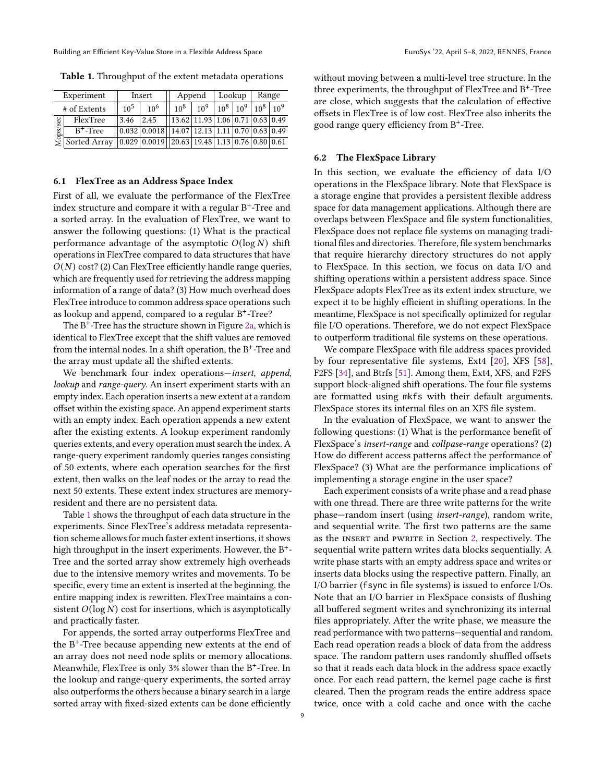Building an Efficient Key-Value Store in a Flexible Address Space **EuroSys '22, April 5–8, 2022, RENNES**, France

<span id="page-8-0"></span>Table 1. Throughput of the extent metadata operations

|          | Experiment                                                    |                 | Insert                                                                            |                                             | Append   |        | Lookup          | Range  |          |  |
|----------|---------------------------------------------------------------|-----------------|-----------------------------------------------------------------------------------|---------------------------------------------|----------|--------|-----------------|--------|----------|--|
|          | # of Extents                                                  | 10 <sup>5</sup> | $10^{6}$                                                                          | 10 <sup>8</sup>                             | $10^{9}$ | $10^8$ | 10 <sup>9</sup> | $10^8$ | $10^{9}$ |  |
|          | FlexTree                                                      | 3.46            | 2.45                                                                              | $13.62$   11.93   1.06   0.71   0.63   0.49 |          |        |                 |        |          |  |
| Mops/sec | $B^+$ -Tree                                                   |                 | $0.032 \mid 0.0018 \mid 14.07 \mid 12.13 \mid 1.11 \mid 0.70 \mid 0.63 \mid 0.49$ |                                             |          |        |                 |        |          |  |
|          | Sorted Array   0.029 0.0019   20.63 19.48 1.13 0.76 0.80 0.61 |                 |                                                                                   |                                             |          |        |                 |        |          |  |

#### 6.1 FlexTree as an Address Space Index

First of all, we evaluate the performance of the FlexTree index structure and compare it with a regular B+ -Tree and a sorted array. In the evaluation of FlexTree, we want to answer the following questions: (1) What is the practical performance advantage of the asymptotic  $O(\log N)$  shift operations in FlexTree compared to data structures that have  $O(N)$  cost? (2) Can FlexTree efficiently handle range queries, which are frequently used for retrieving the address mapping information of a range of data? (3) How much overhead does FlexTree introduce to common address space operations such as lookup and append, compared to a regular B+ -Tree?

The  $B^+$ -Tree has the structure shown in Figure [2a,](#page-3-0) which is identical to FlexTree except that the shift values are removed from the internal nodes. In a shift operation, the  $B^+$ -Tree and the array must update all the shifted extents.

We benchmark four index operations—insert, append, lookup and range-query. An insert experiment starts with an empty index. Each operation inserts a new extent at a random offset within the existing space. An append experiment starts with an empty index. Each operation appends a new extent after the existing extents. A lookup experiment randomly queries extents, and every operation must search the index. A range-query experiment randomly queries ranges consisting of 50 extents, where each operation searches for the first extent, then walks on the leaf nodes or the array to read the next 50 extents. These extent index structures are memoryresident and there are no persistent data.

Table [1](#page-8-0) shows the throughput of each data structure in the experiments. Since FlexTree's address metadata representation scheme allows for much faster extent insertions, it shows high throughput in the insert experiments. However, the  $B^+$ -Tree and the sorted array show extremely high overheads due to the intensive memory writes and movements. To be specific, every time an extent is inserted at the beginning, the entire mapping index is rewritten. FlexTree maintains a consistent  $O(\log N)$  cost for insertions, which is asymptotically and practically faster.

For appends, the sorted array outperforms FlexTree and the B+ -Tree because appending new extents at the end of an array does not need node splits or memory allocations. Meanwhile. FlexTree is only  $3\%$  slower than the B<sup>+</sup>-Tree. In the lookup and range-query experiments, the sorted array also outperforms the others because a binary search in a large sorted array with fixed-sized extents can be done efficiently

without moving between a multi-level tree structure. In the three experiments, the throughput of FlexTree and B+ -Tree are close, which suggests that the calculation of effective offsets in FlexTree is of low cost. FlexTree also inherits the good range query efficiency from B+ -Tree.

#### 6.2 The FlexSpace Library

In this section, we evaluate the efficiency of data I/O operations in the FlexSpace library. Note that FlexSpace is a storage engine that provides a persistent flexible address space for data management applications. Although there are overlaps between FlexSpace and file system functionalities, FlexSpace does not replace file systems on managing traditional files and directories. Therefore, file system benchmarks that require hierarchy directory structures do not apply to FlexSpace. In this section, we focus on data I/O and shifting operations within a persistent address space. Since FlexSpace adopts FlexTree as its extent index structure, we expect it to be highly efficient in shifting operations. In the meantime, FlexSpace is not specifically optimized for regular file I/O operations. Therefore, we do not expect FlexSpace to outperform traditional file systems on these operations.

We compare FlexSpace with file address spaces provided by four representative file systems, Ext4 [\[20\]](#page-14-12), XFS [\[58\]](#page-16-6), F2FS [\[34\]](#page-15-9), and Btrfs [\[51\]](#page-15-8). Among them, Ext4, XFS, and F2FS support block-aligned shift operations. The four file systems are formatted using mkfs with their default arguments. FlexSpace stores its internal files on an XFS file system.

In the evaluation of FlexSpace, we want to answer the following questions: (1) What is the performance benefit of FlexSpace's insert-range and collpase-range operations? (2) How do different access patterns affect the performance of FlexSpace? (3) What are the performance implications of implementing a storage engine in the user space?

Each experiment consists of a write phase and a read phase with one thread. There are three write patterns for the write phase—random insert (using insert-range), random write, and sequential write. The first two patterns are the same as the INSERT and PWRITE in Section [2,](#page-1-1) respectively. The sequential write pattern writes data blocks sequentially. A write phase starts with an empty address space and writes or inserts data blocks using the respective pattern. Finally, an I/O barrier (fsync in file systems) is issued to enforce I/Os. Note that an I/O barrier in FlexSpace consists of flushing all buffered segment writes and synchronizing its internal files appropriately. After the write phase, we measure the read performance with two patterns—sequential and random. Each read operation reads a block of data from the address space. The random pattern uses randomly shuffled offsets so that it reads each data block in the address space exactly once. For each read pattern, the kernel page cache is first cleared. Then the program reads the entire address space twice, once with a cold cache and once with the cache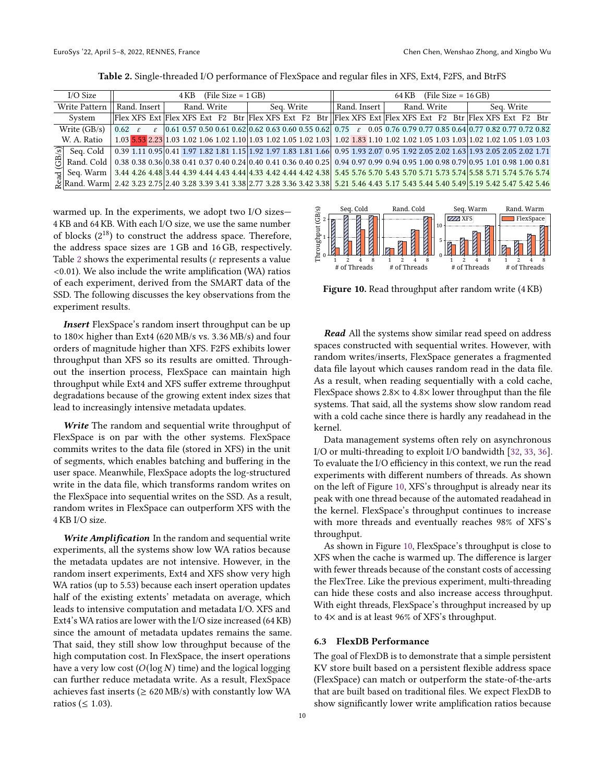<span id="page-9-1"></span>

|               | I/O Size                                                                                                                                                                   | $(File Size = 1 GB)$<br>4 KB  |  |  |             |  |  |            |  | (File Size = $16$ GB)<br>64 KB |              |  |             |                                                                                                                                                     |  |            |  |  |  |  |  |  |  |  |
|---------------|----------------------------------------------------------------------------------------------------------------------------------------------------------------------------|-------------------------------|--|--|-------------|--|--|------------|--|--------------------------------|--------------|--|-------------|-----------------------------------------------------------------------------------------------------------------------------------------------------|--|------------|--|--|--|--|--|--|--|--|
| Write Pattern |                                                                                                                                                                            | Rand. Insert                  |  |  | Rand. Write |  |  | Seq. Write |  |                                | Rand. Insert |  | Rand. Write |                                                                                                                                                     |  | Seq. Write |  |  |  |  |  |  |  |  |
|               | System                                                                                                                                                                     |                               |  |  |             |  |  |            |  |                                |              |  |             | Flex XFS Ext Flex XFS Ext F2 Btr Flex XFS Ext F2 Btr Flex XFS Ext Flex XFS Ext F2 Btr Flex XFS Ext F2 Btr                                           |  |            |  |  |  |  |  |  |  |  |
|               | Write $(GB/s)$                                                                                                                                                             | $\vert 0.62 \rangle \epsilon$ |  |  |             |  |  |            |  |                                |              |  |             | $\varepsilon$   0.61 0.57 0.50 0.61 0.62   0.62 0.63 0.60 0.55 0.62   0.75 $\varepsilon$ 0.05   0.76 0.79 0.77 0.85 0.64   0.77 0.82 0.77 0.72 0.82 |  |            |  |  |  |  |  |  |  |  |
|               | W. A. Ratio                                                                                                                                                                |                               |  |  |             |  |  |            |  |                                |              |  |             | $\ $ 1.03 5.53 2.23 1.03 1.02 1.06 1.02 1.10 1.03 1.02 1.05 1.02 1.03 1.02 1.83 1.10 1.02 1.02 1.05 1.03 1.03 1.02 1.02 1.05 1.03 1.03              |  |            |  |  |  |  |  |  |  |  |
|               | $\boxed{\circ}$ Seq. Cold $\boxed{0.39}$ 1.11 0.95 0.41 1.97 1.82 1.81 1.15 1.92 1.97 1.83 1.81 1.66 0.95 1.93 2.07 0.95 1.92 2.05 2.02 1.63 1.93 2.05 2.05 2.05 2.02 1.71 |                               |  |  |             |  |  |            |  |                                |              |  |             |                                                                                                                                                     |  |            |  |  |  |  |  |  |  |  |
|               | $\bigoplus$ Rand. Cold 0.38 0.38 0.36 0.38 0.41 0.37 0.40 0.24 0.40 0.41 0.36 0.40 0.25 0.94 0.97 0.99 0.94 0.95 1.00 0.98 0.79 0.95 1.01 0.98 1.00 0.81                   |                               |  |  |             |  |  |            |  |                                |              |  |             |                                                                                                                                                     |  |            |  |  |  |  |  |  |  |  |
|               | <del>e</del> g Seq. Warm   3.44 4.26 4.48 3.44 4.39 4.44 4.43 4.44 4.33 4.42 4.44 4.42 4.38   5.45 5.76 5.70 5.73 5.70 5.71 5.73 5.74 5.58 5.71 5.74 5.76 5.74             |                               |  |  |             |  |  |            |  |                                |              |  |             |                                                                                                                                                     |  |            |  |  |  |  |  |  |  |  |
|               | Rand. Warm 2.42 3.23 2.75 2.40 3.28 3.39 3.41 3.38 2.77 3.28 3.36 3.42 3.38 5.21 5.46 4.43 5.17 5.43 5.44 5.40 5.49 5.19 5.42 5.47 5.42 5.46                               |                               |  |  |             |  |  |            |  |                                |              |  |             |                                                                                                                                                     |  |            |  |  |  |  |  |  |  |  |

Table 2. Single-threaded I/O performance of FlexSpace and regular files in XFS, Ext4, F2FS, and BtrFS

warmed up. In the experiments, we adopt two I/O sizes— 4 KB and 64 KB. With each I/O size, we use the same number of blocks  $(2^{18})$  to construct the address space. Therefore, the address space sizes are 1 GB and 16 GB, respectively. Table [2](#page-9-1) shows the experimental results ( $\varepsilon$  represents a value <0.01). We also include the write amplification (WA) ratios of each experiment, derived from the SMART data of the SSD. The following discusses the key observations from the experiment results.

Insert FlexSpace's random insert throughput can be up to 180× higher than Ext4 (620 MB/s vs. 3.36 MB/s) and four orders of magnitude higher than XFS. F2FS exhibits lower throughput than XFS so its results are omitted. Throughout the insertion process, FlexSpace can maintain high throughput while Ext4 and XFS suffer extreme throughput degradations because of the growing extent index sizes that lead to increasingly intensive metadata updates.

Write The random and sequential write throughput of FlexSpace is on par with the other systems. FlexSpace commits writes to the data file (stored in XFS) in the unit of segments, which enables batching and buffering in the user space. Meanwhile, FlexSpace adopts the log-structured write in the data file, which transforms random writes on the FlexSpace into sequential writes on the SSD. As a result, random writes in FlexSpace can outperform XFS with the 4 KB I/O size.

Write Amplification In the random and sequential write experiments, all the systems show low WA ratios because the metadata updates are not intensive. However, in the random insert experiments, Ext4 and XFS show very high WA ratios (up to 5.53) because each insert operation updates half of the existing extents' metadata on average, which leads to intensive computation and metadata I/O. XFS and Ext4's WA ratios are lower with the I/O size increased (64 KB) since the amount of metadata updates remains the same. That said, they still show low throughput because of the high computation cost. In FlexSpace, the insert operations have a very low cost  $(O(\log N)$  time) and the logical logging can further reduce metadata write. As a result, FlexSpace achieves fast inserts ( $\geq 620 \text{ MB/s}$ ) with constantly low WA ratios ( $\leq 1.03$ ).

<span id="page-9-2"></span>

Figure 10. Read throughput after random write (4 KB)

Read All the systems show similar read speed on address spaces constructed with sequential writes. However, with random writes/inserts, FlexSpace generates a fragmented data file layout which causes random read in the data file. As a result, when reading sequentially with a cold cache, FlexSpace shows 2.8× to 4.8× lower throughput than the file systems. That said, all the systems show slow random read with a cold cache since there is hardly any readahead in the kernel.

Data management systems often rely on asynchronous I/O or multi-threading to exploit I/O bandwidth [\[32,](#page-15-10) [33,](#page-15-11) [36\]](#page-15-3). To evaluate the I/O efficiency in this context, we run the read experiments with different numbers of threads. As shown on the left of Figure [10,](#page-9-2) XFS's throughput is already near its peak with one thread because of the automated readahead in the kernel. FlexSpace's throughput continues to increase with more threads and eventually reaches 98% of XFS's throughput.

As shown in Figure [10,](#page-9-2) FlexSpace's throughput is close to XFS when the cache is warmed up. The difference is larger with fewer threads because of the constant costs of accessing the FlexTree. Like the previous experiment, multi-threading can hide these costs and also increase access throughput. With eight threads, FlexSpace's throughput increased by up to 4× and is at least 96% of XFS's throughput.

## <span id="page-9-0"></span>6.3 FlexDB Performance

The goal of FlexDB is to demonstrate that a simple persistent KV store built based on a persistent flexible address space (FlexSpace) can match or outperform the state-of-the-arts that are built based on traditional files. We expect FlexDB to show significantly lower write amplification ratios because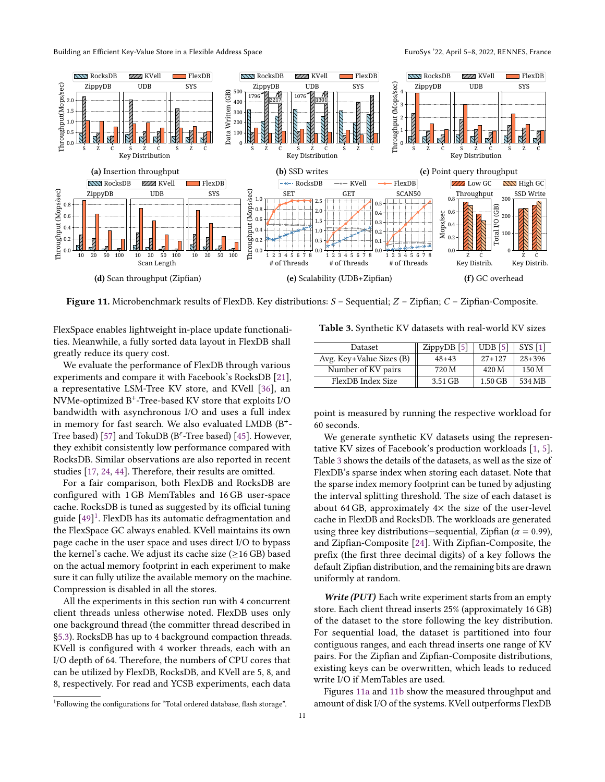<span id="page-10-2"></span>

**Figure 11.** Microbenchmark results of FlexDB. Key distributions:  $S$  – Sequential;  $Z$  – Zipfian;  $C$  – Zipfian-Composite.

FlexSpace enables lightweight in-place update functionalities. Meanwhile, a fully sorted data layout in FlexDB shall greatly reduce its query cost.

We evaluate the performance of FlexDB through various experiments and compare it with Facebook's RocksDB [\[21\]](#page-14-1), a representative LSM-Tree KV store, and KVell [\[36\]](#page-15-3), an NVMe-optimized B+ -Tree-based KV store that exploits I/O bandwidth with asynchronous I/O and uses a full index in memory for fast search. We also evaluated LMDB (B+ - Tree based) [\[57\]](#page-16-7) and TokuDB ( $B^{\varepsilon}$ -Tree based) [\[45\]](#page-15-14). However, they exhibit consistently low performance compared with RocksDB. Similar observations are also reported in recent studies [\[17,](#page-14-13) [24,](#page-14-10) [44\]](#page-15-4). Therefore, their results are omitted.

For a fair comparison, both FlexDB and RocksDB are configured with 1 GB MemTables and 16 GB user-space cache. RocksDB is tuned as suggested by its official tuning guide [\[49\]](#page-15-15) [1](#page-10-0) . FlexDB has its automatic defragmentation and the FlexSpace GC always enabled. KVell maintains its own page cache in the user space and uses direct I/O to bypass the kernel's cache. We adjust its cache size  $(\geq 16 \text{ GB})$  based on the actual memory footprint in each experiment to make sure it can fully utilize the available memory on the machine. Compression is disabled in all the stores.

All the experiments in this section run with 4 concurrent client threads unless otherwise noted. FlexDB uses only one background thread (the committer thread described in [§5.3\)](#page-7-1). RocksDB has up to 4 background compaction threads. KVell is configured with 4 worker threads, each with an I/O depth of 64. Therefore, the numbers of CPU cores that can be utilized by FlexDB, RocksDB, and KVell are 5, 8, and 8, respectively. For read and YCSB experiments, each data

<span id="page-10-1"></span>

| Table 3. Synthetic KV datasets with real-world KV sizes |  |  |  |
|---------------------------------------------------------|--|--|--|
|                                                         |  |  |  |

| <b>Dataset</b>           | ZippyDB[5] | $UDB$ [5] | SYS <sub>[1]</sub> |
|--------------------------|------------|-----------|--------------------|
| Avg. Key+Value Sizes (B) | $48+43$    | $27+127$  | $28+396$           |
| Number of KV pairs       | 720 M      | 420 M     | 150 M              |
| FlexDB Index Size        | 3.51 GB    | $1.50$ GB | 534 MB             |

point is measured by running the respective workload for 60 seconds.

We generate synthetic KV datasets using the representative KV sizes of Facebook's production workloads [\[1,](#page-14-7) [5\]](#page-14-8). Table [3](#page-10-1) shows the details of the datasets, as well as the size of FlexDB's sparse index when storing each dataset. Note that the sparse index memory footprint can be tuned by adjusting the interval splitting threshold. The size of each dataset is about 64 GB, approximately  $4\times$  the size of the user-level cache in FlexDB and RocksDB. The workloads are generated using three key distributions—sequential, Zipfian ( $\alpha = 0.99$ ), and Zipfian-Composite [\[24\]](#page-14-10). With Zipfian-Composite, the prefix (the first three decimal digits) of a key follows the default Zipfian distribution, and the remaining bits are drawn uniformly at random.

Write (PUT) Each write experiment starts from an empty store. Each client thread inserts 25% (approximately 16 GB) of the dataset to the store following the key distribution. For sequential load, the dataset is partitioned into four contiguous ranges, and each thread inserts one range of KV pairs. For the Zipfian and Zipfian-Composite distributions, existing keys can be overwritten, which leads to reduced write I/O if MemTables are used.

Figures [11a](#page-10-2) and [11b](#page-10-2) show the measured throughput and amount of disk I/O of the systems. KVell outperforms FlexDB

<span id="page-10-0"></span> $1$ Following the configurations for "Total ordered database, flash storage".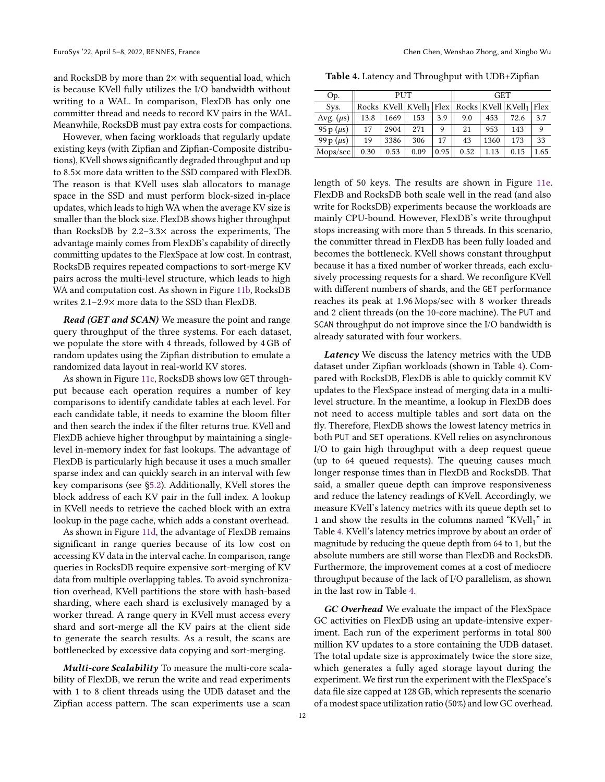and RocksDB by more than  $2\times$  with sequential load, which is because KVell fully utilizes the I/O bandwidth without writing to a WAL. In comparison, FlexDB has only one committer thread and needs to record KV pairs in the WAL. Meanwhile, RocksDB must pay extra costs for compactions.

However, when facing workloads that regularly update existing keys (with Zipfian and Zipfian-Composite distributions), KVell shows significantly degraded throughput and up to 8.5× more data written to the SSD compared with FlexDB. The reason is that KVell uses slab allocators to manage space in the SSD and must perform block-sized in-place updates, which leads to high WA when the average KV size is smaller than the block size. FlexDB shows higher throughput than RocksDB by 2.2–3.3× across the experiments, The advantage mainly comes from FlexDB's capability of directly committing updates to the FlexSpace at low cost. In contrast, RocksDB requires repeated compactions to sort-merge KV pairs across the multi-level structure, which leads to high WA and computation cost. As shown in Figure [11b,](#page-10-2) RocksDB writes 2.1–2.9× more data to the SSD than FlexDB.

Read (GET and SCAN) We measure the point and range query throughput of the three systems. For each dataset, we populate the store with 4 threads, followed by 4 GB of random updates using the Zipfian distribution to emulate a randomized data layout in real-world KV stores.

As shown in Figure [11c,](#page-10-2) RocksDB shows low GET throughput because each operation requires a number of key comparisons to identify candidate tables at each level. For each candidate table, it needs to examine the bloom filter and then search the index if the filter returns true. KVell and FlexDB achieve higher throughput by maintaining a singlelevel in-memory index for fast lookups. The advantage of FlexDB is particularly high because it uses a much smaller sparse index and can quickly search in an interval with few key comparisons (see [§5.2\)](#page-7-2). Additionally, KVell stores the block address of each KV pair in the full index. A lookup in KVell needs to retrieve the cached block with an extra lookup in the page cache, which adds a constant overhead.

As shown in Figure [11d,](#page-10-2) the advantage of FlexDB remains significant in range queries because of its low cost on accessing KV data in the interval cache. In comparison, range queries in RocksDB require expensive sort-merging of KV data from multiple overlapping tables. To avoid synchronization overhead, KVell partitions the store with hash-based sharding, where each shard is exclusively managed by a worker thread. A range query in KVell must access every shard and sort-merge all the KV pairs at the client side to generate the search results. As a result, the scans are bottlenecked by excessive data copying and sort-merging.

Multi-core Scalability To measure the multi-core scalability of FlexDB, we rerun the write and read experiments with 1 to 8 client threads using the UDB dataset and the Zipfian access pattern. The scan experiments use a scan

<span id="page-11-0"></span>Table 4. Latency and Throughput with UDB+Zipfian

| Op.            |      | PUT  |                                                               |      | <b>GET</b> |      |      |      |  |  |
|----------------|------|------|---------------------------------------------------------------|------|------------|------|------|------|--|--|
| Sys.           |      |      | $Rocks   KVel1   KVel1   Flex   Rocks   KVel1   KVel1   Flex$ |      |            |      |      |      |  |  |
| Avg. $(\mu s)$ | 13.8 | 1669 | 153                                                           | 3.9  | 9.0        | 453  | 72.6 | 3.7  |  |  |
| 95 p $(\mu s)$ | 17   | 2904 | 271                                                           | 9    | 21         | 953  | 143  | 9    |  |  |
| 99 p $(\mu s)$ | 19   | 3386 | 306                                                           | 17   | 43         | 1360 | 173  | 33   |  |  |
| Mops/sec       | 0.30 | 0.53 | 0.09                                                          | 0.95 | 0.52       | 1.13 | 0.15 | 1.65 |  |  |

length of 50 keys. The results are shown in Figure [11e.](#page-10-2) FlexDB and RocksDB both scale well in the read (and also write for RocksDB) experiments because the workloads are mainly CPU-bound. However, FlexDB's write throughput stops increasing with more than 5 threads. In this scenario, the committer thread in FlexDB has been fully loaded and becomes the bottleneck. KVell shows constant throughput because it has a fixed number of worker threads, each exclusively processing requests for a shard. We reconfigure KVell with different numbers of shards, and the GET performance reaches its peak at 1.96 Mops/sec with 8 worker threads and 2 client threads (on the 10-core machine). The PUT and SCAN throughput do not improve since the I/O bandwidth is already saturated with four workers.

Latency We discuss the latency metrics with the UDB dataset under Zipfian workloads (shown in Table [4\)](#page-11-0). Compared with RocksDB, FlexDB is able to quickly commit KV updates to the FlexSpace instead of merging data in a multilevel structure. In the meantime, a lookup in FlexDB does not need to access multiple tables and sort data on the fly. Therefore, FlexDB shows the lowest latency metrics in both PUT and SET operations. KVell relies on asynchronous I/O to gain high throughput with a deep request queue (up to 64 queued requests). The queuing causes much longer response times than in FlexDB and RocksDB. That said, a smaller queue depth can improve responsiveness and reduce the latency readings of KVell. Accordingly, we measure KVell's latency metrics with its queue depth set to 1 and show the results in the columns named "KVell $_1$ " in Table [4.](#page-11-0) KVell's latency metrics improve by about an order of magnitude by reducing the queue depth from 64 to 1, but the absolute numbers are still worse than FlexDB and RocksDB. Furthermore, the improvement comes at a cost of mediocre throughput because of the lack of I/O parallelism, as shown in the last row in Table [4.](#page-11-0)

GC Overhead We evaluate the impact of the FlexSpace GC activities on FlexDB using an update-intensive experiment. Each run of the experiment performs in total 800 million KV updates to a store containing the UDB dataset. The total update size is approximately twice the store size, which generates a fully aged storage layout during the experiment. We first run the experiment with the FlexSpace's data file size capped at 128 GB, which represents the scenario of a modest space utilization ratio (50%) and low GC overhead.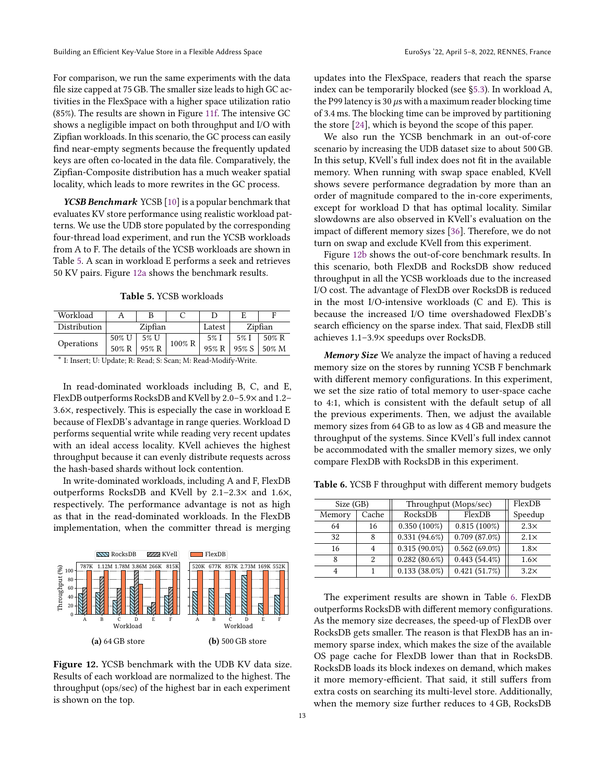For comparison, we run the same experiments with the data file size capped at 75 GB. The smaller size leads to high GC activities in the FlexSpace with a higher space utilization ratio (85%). The results are shown in Figure [11f.](#page-10-2) The intensive GC shows a negligible impact on both throughput and I/O with Zipfian workloads. In this scenario, the GC process can easily find near-empty segments because the frequently updated keys are often co-located in the data file. Comparatively, the Zipfian-Composite distribution has a much weaker spatial locality, which leads to more rewrites in the GC process.

YCSB Benchmark YCSB [\[10\]](#page-14-14) is a popular benchmark that evaluates KV store performance using realistic workload patterns. We use the UDB store populated by the corresponding four-thread load experiment, and run the YCSB workloads from A to F. The details of the YCSB workloads are shown in Table [5.](#page-12-0) A scan in workload E performs a seek and retrieves 50 KV pairs. Figure [12a](#page-12-1) shows the benchmark results.

Table 5. YCSB workloads

<span id="page-12-0"></span>

| Workload     |       |         |        |        |         | F        |  |
|--------------|-------|---------|--------|--------|---------|----------|--|
| Distribution |       | Zipfian |        | Latest | Zipfian |          |  |
| Operations   | 50% U | 5% U    | 100% R | 5% I   | 5% I    | $50\%$ R |  |
|              | 50% R | 95% R   |        | 95% R  | 95% S   | 50% M    |  |

∗ I: Insert; U: Update; R: Read; S: Scan; M: Read-Modify-Write.

In read-dominated workloads including B, C, and E, FlexDB outperforms RocksDB and KVell by 2.0–5.9× and 1.2– 3.6×, respectively. This is especially the case in workload E because of FlexDB's advantage in range queries. Workload D performs sequential write while reading very recent updates with an ideal access locality. KVell achieves the highest throughput because it can evenly distribute requests across the hash-based shards without lock contention.

In write-dominated workloads, including A and F, FlexDB outperforms RocksDB and KVell by 2.1–2.3× and 1.6×, respectively. The performance advantage is not as high as that in the read-dominated workloads. In the FlexDB implementation, when the committer thread is merging

<span id="page-12-1"></span>

Figure 12. YCSB benchmark with the UDB KV data size. Results of each workload are normalized to the highest. The throughput (ops/sec) of the highest bar in each experiment is shown on the top.

updates into the FlexSpace, readers that reach the sparse index can be temporarily blocked (see [§5.3\)](#page-7-1). In workload A, the P99 latency is 30  $\mu$ s with a maximum reader blocking time of 3.4 ms. The blocking time can be improved by partitioning the store [\[24\]](#page-14-10), which is beyond the scope of this paper.

We also run the YCSB benchmark in an out-of-core scenario by increasing the UDB dataset size to about 500 GB. In this setup, KVell's full index does not fit in the available memory. When running with swap space enabled, KVell shows severe performance degradation by more than an order of magnitude compared to the in-core experiments, except for workload D that has optimal locality. Similar slowdowns are also observed in KVell's evaluation on the impact of different memory sizes [\[36\]](#page-15-3). Therefore, we do not turn on swap and exclude KVell from this experiment.

Figure [12b](#page-12-1) shows the out-of-core benchmark results. In this scenario, both FlexDB and RocksDB show reduced throughput in all the YCSB workloads due to the increased I/O cost. The advantage of FlexDB over RocksDB is reduced in the most I/O-intensive workloads (C and E). This is because the increased I/O time overshadowed FlexDB's search efficiency on the sparse index. That said, FlexDB still achieves 1.1–3.9× speedups over RocksDB.

Memory Size We analyze the impact of having a reduced memory size on the stores by running YCSB F benchmark with different memory configurations. In this experiment, we set the size ratio of total memory to user-space cache to 4:1, which is consistent with the default setup of all the previous experiments. Then, we adjust the available memory sizes from 64 GB to as low as 4 GB and measure the throughput of the systems. Since KVell's full index cannot be accommodated with the smaller memory sizes, we only compare FlexDB with RocksDB in this experiment.

<span id="page-12-2"></span>Table 6. YCSB F throughput with different memory budgets

| Size (GB) |       | Throughput (Mops/sec) | FlexDB          |             |  |
|-----------|-------|-----------------------|-----------------|-------------|--|
| Memory    | Cache | RocksDB               | FlexDB          | Speedup     |  |
| 64        | 16    | $0.350(100\%)$        | $0.815(100\%)$  | $2.3\times$ |  |
| 32        | 8     | $0.331(94.6\%)$       | $0.709(87.0\%)$ | $2.1\times$ |  |
| 16        | 4     | $0.315(90.0\%)$       | $0.562(69.0\%)$ | $1.8\times$ |  |
| 8         | 2     | $0.282(80.6\%)$       | $0.443(54.4\%)$ | $1.6\times$ |  |
| 4         |       | $0.133(38.0\%)$       | 0.421(51.7%)    | $3.2\times$ |  |

The experiment results are shown in Table [6.](#page-12-2) FlexDB outperforms RocksDB with different memory configurations. As the memory size decreases, the speed-up of FlexDB over RocksDB gets smaller. The reason is that FlexDB has an inmemory sparse index, which makes the size of the available OS page cache for FlexDB lower than that in RocksDB. RocksDB loads its block indexes on demand, which makes it more memory-efficient. That said, it still suffers from extra costs on searching its multi-level store. Additionally, when the memory size further reduces to 4 GB, RocksDB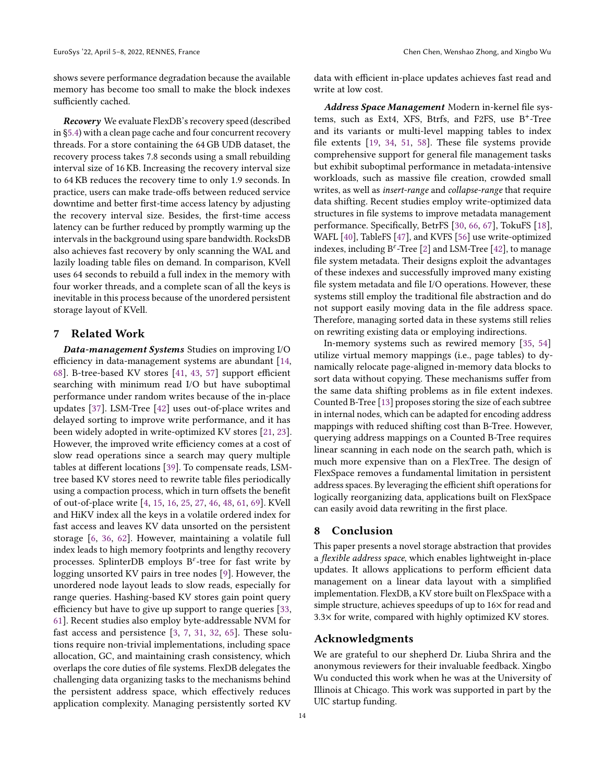shows severe performance degradation because the available memory has become too small to make the block indexes sufficiently cached.

Recovery We evaluate FlexDB's recovery speed (described in [§5.4\)](#page-7-3) with a clean page cache and four concurrent recovery threads. For a store containing the 64 GB UDB dataset, the recovery process takes 7.8 seconds using a small rebuilding interval size of 16 KB. Increasing the recovery interval size to 64 KB reduces the recovery time to only 1.9 seconds. In practice, users can make trade-offs between reduced service downtime and better first-time access latency by adjusting the recovery interval size. Besides, the first-time access latency can be further reduced by promptly warming up the intervals in the background using spare bandwidth. RocksDB also achieves fast recovery by only scanning the WAL and lazily loading table files on demand. In comparison, KVell uses 64 seconds to rebuild a full index in the memory with four worker threads, and a complete scan of all the keys is inevitable in this process because of the unordered persistent storage layout of KVell.

# 7 Related Work

Data-management Systems Studies on improving I/O efficiency in data-management systems are abundant [\[14,](#page-14-15) [68\]](#page-16-8). B-tree-based KV stores [\[41,](#page-15-16) [43,](#page-15-17) [57\]](#page-16-7) support efficient searching with minimum read I/O but have suboptimal performance under random writes because of the in-place updates [\[37\]](#page-15-18). LSM-Tree [\[42\]](#page-15-19) uses out-of-place writes and delayed sorting to improve write performance, and it has been widely adopted in write-optimized KV stores [\[21,](#page-14-1) [23\]](#page-14-0). However, the improved write efficiency comes at a cost of slow read operations since a search may query multiple tables at different locations [\[39\]](#page-15-20). To compensate reads, LSMtree based KV stores need to rewrite table files periodically using a compaction process, which in turn offsets the benefit of out-of-place write [\[4,](#page-14-16) [15,](#page-14-17) [16,](#page-14-18) [25,](#page-14-19) [27,](#page-14-20) [46,](#page-15-1) [48,](#page-15-21) [61,](#page-16-9) [69\]](#page-16-1). KVell and HiKV index all the keys in a volatile ordered index for fast access and leaves KV data unsorted on the persistent storage [\[6,](#page-14-21) [36,](#page-15-3) [62\]](#page-16-10). However, maintaining a volatile full index leads to high memory footprints and lengthy recovery processes. SplinterDB employs  $B^{\varepsilon}$ -tree for fast write by logging unsorted KV pairs in tree nodes [\[9\]](#page-14-9). However, the unordered node layout leads to slow reads, especially for range queries. Hashing-based KV stores gain point query efficiency but have to give up support to range queries [\[33,](#page-15-11) [61\]](#page-16-9). Recent studies also employ byte-addressable NVM for fast access and persistence [\[3,](#page-14-22) [7,](#page-14-23) [31,](#page-15-22) [32,](#page-15-10) [65\]](#page-16-11). These solutions require non-trivial implementations, including space allocation, GC, and maintaining crash consistency, which overlaps the core duties of file systems. FlexDB delegates the challenging data organizing tasks to the mechanisms behind the persistent address space, which effectively reduces application complexity. Managing persistently sorted KV

data with efficient in-place updates achieves fast read and write at low cost.

Address Space Management Modern in-kernel file systems, such as Ext4, XFS, Btrfs, and F2FS, use B+ -Tree and its variants or multi-level mapping tables to index file extents [\[19,](#page-14-4) [34,](#page-15-9) [51,](#page-15-8) [58\]](#page-16-6). These file systems provide comprehensive support for general file management tasks but exhibit suboptimal performance in metadata-intensive workloads, such as massive file creation, crowded small writes, as well as insert-range and collapse-range that require data shifting. Recent studies employ write-optimized data structures in file systems to improve metadata management performance. Specifically, BetrFS [\[30,](#page-15-23) [66,](#page-16-12) [67\]](#page-16-3), TokuFS [\[18\]](#page-14-24), WAFL [\[40\]](#page-15-24), TableFS [\[47\]](#page-15-25), and KVFS [\[56\]](#page-16-13) use write-optimized indexes, including  $B^{\epsilon}$ -Tree [\[2\]](#page-14-25) and LSM-Tree [\[42\]](#page-15-19), to manage file system metadata. Their designs exploit the advantages of these indexes and successfully improved many existing file system metadata and file I/O operations. However, these systems still employ the traditional file abstraction and do not support easily moving data in the file address space. Therefore, managing sorted data in these systems still relies on rewriting existing data or employing indirections.

In-memory systems such as rewired memory [\[35,](#page-15-26) [54\]](#page-15-27) utilize virtual memory mappings (i.e., page tables) to dynamically relocate page-aligned in-memory data blocks to sort data without copying. These mechanisms suffer from the same data shifting problems as in file extent indexes. Counted B-Tree [\[13\]](#page-14-26) proposes storing the size of each subtree in internal nodes, which can be adapted for encoding address mappings with reduced shifting cost than B-Tree. However, querying address mappings on a Counted B-Tree requires linear scanning in each node on the search path, which is much more expensive than on a FlexTree. The design of FlexSpace removes a fundamental limitation in persistent address spaces. By leveraging the efficient shift operations for logically reorganizing data, applications built on FlexSpace can easily avoid data rewriting in the first place.

## 8 Conclusion

This paper presents a novel storage abstraction that provides a flexible address space, which enables lightweight in-place updates. It allows applications to perform efficient data management on a linear data layout with a simplified implementation. FlexDB, a KV store built on FlexSpace with a simple structure, achieves speedups of up to 16× for read and 3.3× for write, compared with highly optimized KV stores.

## Acknowledgments

We are grateful to our shepherd Dr. Liuba Shrira and the anonymous reviewers for their invaluable feedback. Xingbo Wu conducted this work when he was at the University of Illinois at Chicago. This work was supported in part by the UIC startup funding.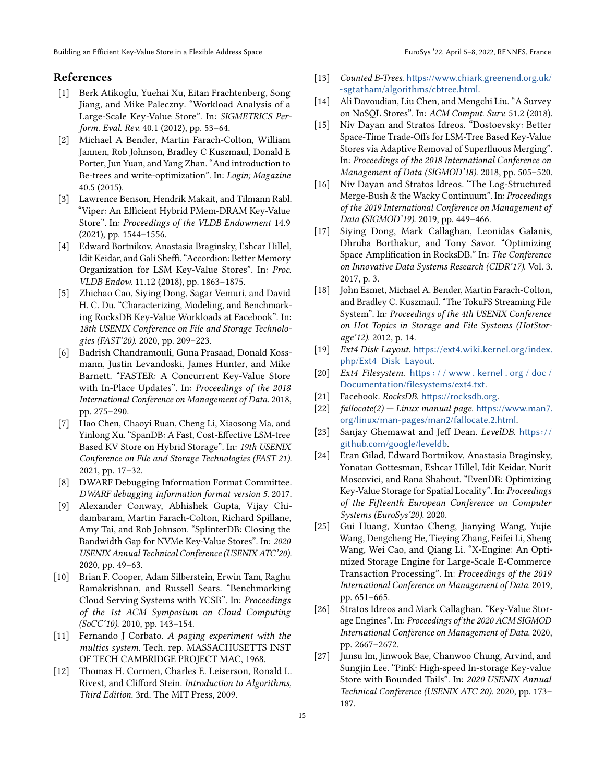# References

- <span id="page-14-7"></span>[1] Berk Atikoglu, Yuehai Xu, Eitan Frachtenberg, Song Jiang, and Mike Paleczny. "Workload Analysis of a Large-Scale Key-Value Store". In: SIGMETRICS Perform. Eval. Rev. 40.1 (2012), pp. 53–64.
- <span id="page-14-25"></span>[2] Michael A Bender, Martin Farach-Colton, William Jannen, Rob Johnson, Bradley C Kuszmaul, Donald E Porter, Jun Yuan, and Yang Zhan. "And introduction to Be-trees and write-optimization". In: Login; Magazine 40.5 (2015).
- <span id="page-14-22"></span>[3] Lawrence Benson, Hendrik Makait, and Tilmann Rabl. "Viper: An Efficient Hybrid PMem-DRAM Key-Value Store". In: Proceedings of the VLDB Endowment 14.9 (2021), pp. 1544–1556.
- <span id="page-14-16"></span>[4] Edward Bortnikov, Anastasia Braginsky, Eshcar Hillel, Idit Keidar, and Gali Sheffi. "Accordion: Better Memory Organization for LSM Key-Value Stores". In: Proc. VLDB Endow. 11.12 (2018), pp. 1863–1875.
- <span id="page-14-8"></span>[5] Zhichao Cao, Siying Dong, Sagar Vemuri, and David H. C. Du. "Characterizing, Modeling, and Benchmarking RocksDB Key-Value Workloads at Facebook". In: 18th USENIX Conference on File and Storage Technologies (FAST'20). 2020, pp. 209–223.
- <span id="page-14-21"></span>[6] Badrish Chandramouli, Guna Prasaad, Donald Kossmann, Justin Levandoski, James Hunter, and Mike Barnett. "FASTER: A Concurrent Key-Value Store with In-Place Updates". In: Proceedings of the 2018 International Conference on Management of Data. 2018, pp. 275–290.
- <span id="page-14-23"></span>[7] Hao Chen, Chaoyi Ruan, Cheng Li, Xiaosong Ma, and Yinlong Xu. "SpanDB: A Fast, Cost-Effective LSM-tree Based KV Store on Hybrid Storage". In: 19th USENIX Conference on File and Storage Technologies (FAST 21). 2021, pp. 17–32.
- <span id="page-14-6"></span>[8] DWARF Debugging Information Format Committee. DWARF debugging information format version 5. 2017.
- <span id="page-14-9"></span>[9] Alexander Conway, Abhishek Gupta, Vijay Chidambaram, Martin Farach-Colton, Richard Spillane, Amy Tai, and Rob Johnson. "SplinterDB: Closing the Bandwidth Gap for NVMe Key-Value Stores". In: 2020 USENIX Annual Technical Conference (USENIX ATC'20). 2020, pp. 49–63.
- <span id="page-14-14"></span>[10] Brian F. Cooper, Adam Silberstein, Erwin Tam, Raghu Ramakrishnan, and Russell Sears. "Benchmarking Cloud Serving Systems with YCSB". In: Proceedings of the 1st ACM Symposium on Cloud Computing (SoCC'10). 2010, pp. 143–154.
- <span id="page-14-11"></span>[11] Fernando J Corbato. A paging experiment with the multics system. Tech. rep. MASSACHUSETTS INST OF TECH CAMBRIDGE PROJECT MAC, 1968.
- <span id="page-14-5"></span>[12] Thomas H. Cormen, Charles E. Leiserson, Ronald L. Rivest, and Clifford Stein. Introduction to Algorithms, Third Edition. 3rd. The MIT Press, 2009.
- <span id="page-14-26"></span>[13] Counted B-Trees. [https://www.chiark.greenend.org.uk/](https://www.chiark.greenend.org.uk/~sgtatham/algorithms/cbtree.html) [~sgtatham/algorithms/cbtree.html](https://www.chiark.greenend.org.uk/~sgtatham/algorithms/cbtree.html).
- <span id="page-14-15"></span>[14] Ali Davoudian, Liu Chen, and Mengchi Liu. "A Survey on NoSQL Stores". In: ACM Comput. Surv. 51.2 (2018).
- <span id="page-14-17"></span>[15] Niv Dayan and Stratos Idreos. "Dostoevsky: Better Space-Time Trade-Offs for LSM-Tree Based Key-Value Stores via Adaptive Removal of Superfluous Merging". In: Proceedings of the 2018 International Conference on Management of Data (SIGMOD'18). 2018, pp. 505–520.
- <span id="page-14-18"></span>[16] Niv Dayan and Stratos Idreos. "The Log-Structured Merge-Bush & the Wacky Continuum". In: Proceedings of the 2019 International Conference on Management of Data (SIGMOD'19). 2019, pp. 449–466.
- <span id="page-14-13"></span>[17] Siying Dong, Mark Callaghan, Leonidas Galanis, Dhruba Borthakur, and Tony Savor. "Optimizing Space Amplification in RocksDB." In: The Conference on Innovative Data Systems Research (CIDR'17). Vol. 3. 2017, p. 3.
- <span id="page-14-24"></span>[18] John Esmet, Michael A. Bender, Martin Farach-Colton, and Bradley C. Kuszmaul. "The TokuFS Streaming File System". In: Proceedings of the 4th USENIX Conference on Hot Topics in Storage and File Systems (HotStorage'12). 2012, p. 14.
- <span id="page-14-4"></span>[19] Ext4 Disk Layout. [https://ext4.wiki.kernel.org/index.](https://ext4.wiki.kernel.org/index.php/Ext4_Disk_Layout) [php/Ext4\\_Disk\\_Layout](https://ext4.wiki.kernel.org/index.php/Ext4_Disk_Layout).
- <span id="page-14-12"></span>[20] Ext4 Filesystem. https://www.kernel.org/doc/ [Documentation/filesystems/ext4.txt](https://www.kernel.org/doc/Documentation/filesystems/ext4.txt).
- <span id="page-14-1"></span>[21] Facebook. RocksDB. <https://rocksdb.org>.
- <span id="page-14-3"></span>[22]  $fallocate(2) - Linux manual page. <https://www.man7.100167>$  $fallocate(2) - Linux manual page. <https://www.man7.100167>$  $fallocate(2) - Linux manual page. <https://www.man7.100167>$ [org/linux/man-pages/man2/fallocate.2.html](https://www.man7.org/linux/man-pages/man2/fallocate.2.html).
- <span id="page-14-0"></span>[23] Sanjay Ghemawat and Jeff Dean. LevelDB. https:// [github.com/google/leveldb](https://github.com/google/leveldb).
- <span id="page-14-10"></span>[24] Eran Gilad, Edward Bortnikov, Anastasia Braginsky, Yonatan Gottesman, Eshcar Hillel, Idit Keidar, Nurit Moscovici, and Rana Shahout. "EvenDB: Optimizing Key-Value Storage for Spatial Locality". In: Proceedings of the Fifteenth European Conference on Computer Systems (EuroSys'20). 2020.
- <span id="page-14-19"></span>[25] Gui Huang, Xuntao Cheng, Jianying Wang, Yujie Wang, Dengcheng He, Tieying Zhang, Feifei Li, Sheng Wang, Wei Cao, and Qiang Li. "X-Engine: An Optimized Storage Engine for Large-Scale E-Commerce Transaction Processing". In: Proceedings of the 2019 International Conference on Management of Data. 2019, pp. 651–665.
- <span id="page-14-2"></span>[26] Stratos Idreos and Mark Callaghan. "Key-Value Storage Engines". In: Proceedings of the 2020 ACM SIGMOD International Conference on Management of Data. 2020, pp. 2667–2672.
- <span id="page-14-20"></span>[27] Junsu Im, Jinwook Bae, Chanwoo Chung, Arvind, and Sungjin Lee. "PinK: High-speed In-storage Key-value Store with Bounded Tails". In: 2020 USENIX Annual Technical Conference (USENIX ATC 20). 2020, pp. 173– 187.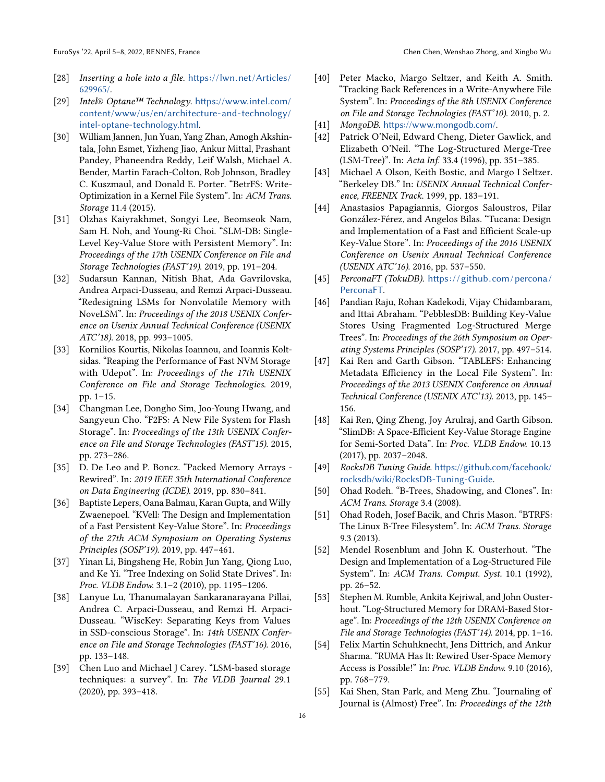- <span id="page-15-6"></span>[28] Inserting a hole into a file. [https://lwn.net/Articles/](https://lwn.net/Articles/629965/) [629965/](https://lwn.net/Articles/629965/).
- <span id="page-15-2"></span>[29] Intel® Optane™ Technology. [https://www.intel.com/](https://www.intel.com/content/www/us/en/architecture-and-technology/intel-optane-technology.html) [content/www/us/en/architecture-and-technology/](https://www.intel.com/content/www/us/en/architecture-and-technology/intel-optane-technology.html) [intel-optane-technology.html](https://www.intel.com/content/www/us/en/architecture-and-technology/intel-optane-technology.html).
- <span id="page-15-23"></span>[30] William Jannen, Jun Yuan, Yang Zhan, Amogh Akshintala, John Esmet, Yizheng Jiao, Ankur Mittal, Prashant Pandey, Phaneendra Reddy, Leif Walsh, Michael A. Bender, Martin Farach-Colton, Rob Johnson, Bradley C. Kuszmaul, and Donald E. Porter. "BetrFS: Write-Optimization in a Kernel File System". In: ACM Trans. Storage 11.4 (2015).
- <span id="page-15-22"></span>[31] Olzhas Kaiyrakhmet, Songyi Lee, Beomseok Nam, Sam H. Noh, and Young-Ri Choi. "SLM-DB: Single-Level Key-Value Store with Persistent Memory". In: Proceedings of the 17th USENIX Conference on File and Storage Technologies (FAST'19). 2019, pp. 191–204.
- <span id="page-15-10"></span>[32] Sudarsun Kannan, Nitish Bhat, Ada Gavrilovska, Andrea Arpaci-Dusseau, and Remzi Arpaci-Dusseau. "Redesigning LSMs for Nonvolatile Memory with NoveLSM". In: Proceedings of the 2018 USENIX Conference on Usenix Annual Technical Conference (USENIX ATC'18). 2018, pp. 993–1005.
- <span id="page-15-11"></span>[33] Kornilios Kourtis, Nikolas Ioannou, and Ioannis Koltsidas. "Reaping the Performance of Fast NVM Storage with Udepot". In: Proceedings of the 17th USENIX Conference on File and Storage Technologies. 2019, pp. 1–15.
- <span id="page-15-9"></span>[34] Changman Lee, Dongho Sim, Joo-Young Hwang, and Sangyeun Cho. "F2FS: A New File System for Flash Storage". In: Proceedings of the 13th USENIX Conference on File and Storage Technologies (FAST'15). 2015, pp. 273–286.
- <span id="page-15-26"></span>[35] D. De Leo and P. Boncz. "Packed Memory Arrays - Rewired". In: 2019 IEEE 35th International Conference on Data Engineering (ICDE). 2019, pp. 830–841.
- <span id="page-15-3"></span>[36] Baptiste Lepers, Oana Balmau, Karan Gupta, and Willy Zwaenepoel. "KVell: The Design and Implementation of a Fast Persistent Key-Value Store". In: Proceedings of the 27th ACM Symposium on Operating Systems Principles (SOSP'19). 2019, pp. 447–461.
- <span id="page-15-18"></span>[37] Yinan Li, Bingsheng He, Robin Jun Yang, Qiong Luo, and Ke Yi. "Tree Indexing on Solid State Drives". In: Proc. VLDB Endow. 3.1–2 (2010), pp. 1195–1206.
- <span id="page-15-0"></span>[38] Lanyue Lu, Thanumalayan Sankaranarayana Pillai, Andrea C. Arpaci-Dusseau, and Remzi H. Arpaci-Dusseau. "WiscKey: Separating Keys from Values in SSD-conscious Storage". In: 14th USENIX Conference on File and Storage Technologies (FAST'16). 2016, pp. 133–148.
- <span id="page-15-20"></span>[39] Chen Luo and Michael J Carey. "LSM-based storage techniques: a survey". In: The VLDB Journal 29.1 (2020), pp. 393–418.
- <span id="page-15-24"></span>[40] Peter Macko, Margo Seltzer, and Keith A. Smith. "Tracking Back References in a Write-Anywhere File System". In: Proceedings of the 8th USENIX Conference on File and Storage Technologies (FAST'10). 2010, p. 2.
- <span id="page-15-16"></span>[41] MongoDB. <https://www.mongodb.com/>.
- <span id="page-15-19"></span>[42] Patrick O'Neil, Edward Cheng, Dieter Gawlick, and Elizabeth O'Neil. "The Log-Structured Merge-Tree (LSM-Tree)". In: Acta Inf. 33.4 (1996), pp. 351–385.
- <span id="page-15-17"></span>[43] Michael A Olson, Keith Bostic, and Margo I Seltzer. "Berkeley DB." In: USENIX Annual Technical Conference, FREENIX Track. 1999, pp. 183–191.
- <span id="page-15-4"></span>[44] Anastasios Papagiannis, Giorgos Saloustros, Pilar González-Férez, and Angelos Bilas. "Tucana: Design and Implementation of a Fast and Efficient Scale-up Key-Value Store". In: Proceedings of the 2016 USENIX Conference on Usenix Annual Technical Conference (USENIX ATC'16). 2016, pp. 537–550.
- <span id="page-15-14"></span>[45] PerconaFT (TokuDB). https://github.com/percona/ [PerconaFT](https://github.com/percona/PerconaFT).
- <span id="page-15-1"></span>[46] Pandian Raju, Rohan Kadekodi, Vijay Chidambaram, and Ittai Abraham. "PebblesDB: Building Key-Value Stores Using Fragmented Log-Structured Merge Trees". In: Proceedings of the 26th Symposium on Operating Systems Principles (SOSP'17). 2017, pp. 497–514.
- <span id="page-15-25"></span>[47] Kai Ren and Garth Gibson. "TABLEFS: Enhancing Metadata Efficiency in the Local File System". In: Proceedings of the 2013 USENIX Conference on Annual Technical Conference (USENIX ATC'13). 2013, pp. 145– 156.
- <span id="page-15-21"></span>[48] Kai Ren, Qing Zheng, Joy Arulraj, and Garth Gibson. "SlimDB: A Space-Efficient Key-Value Storage Engine for Semi-Sorted Data". In: Proc. VLDB Endow. 10.13 (2017), pp. 2037–2048.
- <span id="page-15-15"></span>[49] RocksDB Tuning Guide. [https://github.com/facebook/](https://github.com/facebook/rocksdb/wiki/RocksDB-Tuning-Guide) [rocksdb/wiki/RocksDB-Tuning-Guide](https://github.com/facebook/rocksdb/wiki/RocksDB-Tuning-Guide).
- <span id="page-15-7"></span>[50] Ohad Rodeh. "B-Trees, Shadowing, and Clones". In: ACM Trans. Storage 3.4 (2008).
- <span id="page-15-8"></span>[51] Ohad Rodeh, Josef Bacik, and Chris Mason. "BTRFS: The Linux B-Tree Filesystem". In: ACM Trans. Storage 9.3 (2013).
- <span id="page-15-12"></span>[52] Mendel Rosenblum and John K. Ousterhout. "The Design and Implementation of a Log-Structured File System". In: ACM Trans. Comput. Syst. 10.1 (1992), pp. 26–52.
- <span id="page-15-13"></span>[53] Stephen M. Rumble, Ankita Kejriwal, and John Ousterhout. "Log-Structured Memory for DRAM-Based Storage". In: Proceedings of the 12th USENIX Conference on File and Storage Technologies (FAST'14). 2014, pp. 1–16.
- <span id="page-15-27"></span>[54] Felix Martin Schuhknecht, Jens Dittrich, and Ankur Sharma. "RUMA Has It: Rewired User-Space Memory Access is Possible!" In: Proc. VLDB Endow. 9.10 (2016), pp. 768–779.
- <span id="page-15-5"></span>[55] Kai Shen, Stan Park, and Meng Zhu. "Journaling of Journal is (Almost) Free". In: Proceedings of the 12th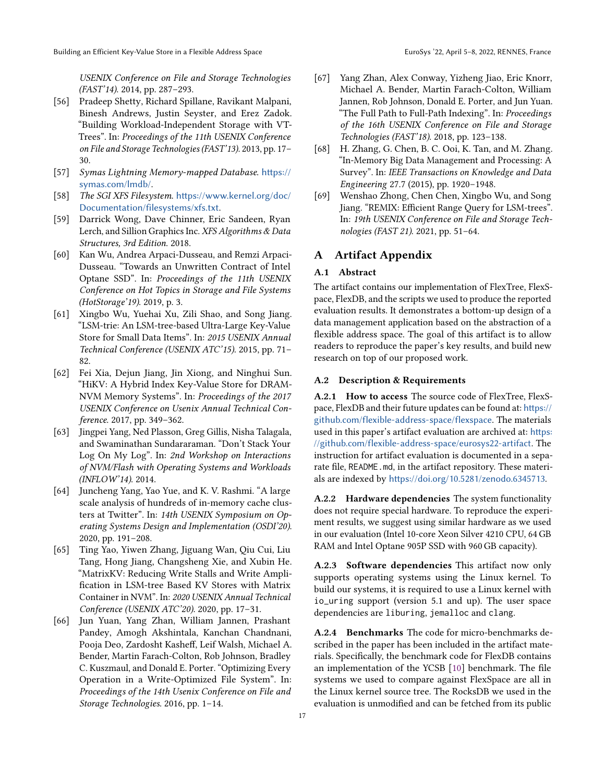USENIX Conference on File and Storage Technologies (FAST'14). 2014, pp. 287–293.

- <span id="page-16-13"></span>[56] Pradeep Shetty, Richard Spillane, Ravikant Malpani, Binesh Andrews, Justin Seyster, and Erez Zadok. "Building Workload-Independent Storage with VT-Trees". In: Proceedings of the 11th USENIX Conference on File and Storage Technologies (FAST'13). 2013, pp. 17– 30.
- <span id="page-16-7"></span>[57] Symas Lightning Memory-mapped Database. [https://](https://symas.com/lmdb/) [symas.com/lmdb/](https://symas.com/lmdb/).
- <span id="page-16-6"></span>[58] The SGI XFS Filesystem. [https://www.kernel.org/doc/](https://www.kernel.org/doc/Documentation/filesystems/xfs.txt) [Documentation/filesystems/xfs.txt](https://www.kernel.org/doc/Documentation/filesystems/xfs.txt).
- <span id="page-16-4"></span>[59] Darrick Wong, Dave Chinner, Eric Sandeen, Ryan Lerch, and Sillion Graphics Inc. XFS Algorithms & Data Structures, 3rd Edition. 2018.
- <span id="page-16-0"></span>[60] Kan Wu, Andrea Arpaci-Dusseau, and Remzi Arpaci-Dusseau. "Towards an Unwritten Contract of Intel Optane SSD". In: Proceedings of the 11th USENIX Conference on Hot Topics in Storage and File Systems (HotStorage'19). 2019, p. 3.
- <span id="page-16-9"></span>[61] Xingbo Wu, Yuehai Xu, Zili Shao, and Song Jiang. "LSM-trie: An LSM-tree-based Ultra-Large Key-Value Store for Small Data Items". In: 2015 USENIX Annual Technical Conference (USENIX ATC'15). 2015, pp. 71– 82.
- <span id="page-16-10"></span>[62] Fei Xia, Dejun Jiang, Jin Xiong, and Ninghui Sun. "HiKV: A Hybrid Index Key-Value Store for DRAM-NVM Memory Systems". In: Proceedings of the 2017 USENIX Conference on Usenix Annual Technical Conference. 2017, pp. 349–362.
- <span id="page-16-2"></span>[63] Jingpei Yang, Ned Plasson, Greg Gillis, Nisha Talagala, and Swaminathan Sundararaman. "Don't Stack Your Log On My Log". In: 2nd Workshop on Interactions of NVM/Flash with Operating Systems and Workloads (INFLOW'14). 2014.
- <span id="page-16-5"></span>[64] Juncheng Yang, Yao Yue, and K. V. Rashmi. "A large scale analysis of hundreds of in-memory cache clusters at Twitter". In: 14th USENIX Symposium on Operating Systems Design and Implementation (OSDI'20). 2020, pp. 191–208.
- <span id="page-16-11"></span>[65] Ting Yao, Yiwen Zhang, Jiguang Wan, Qiu Cui, Liu Tang, Hong Jiang, Changsheng Xie, and Xubin He. "MatrixKV: Reducing Write Stalls and Write Amplification in LSM-tree Based KV Stores with Matrix Container in NVM". In: 2020 USENIX Annual Technical Conference (USENIX ATC'20). 2020, pp. 17–31.
- <span id="page-16-12"></span>[66] Jun Yuan, Yang Zhan, William Jannen, Prashant Pandey, Amogh Akshintala, Kanchan Chandnani, Pooja Deo, Zardosht Kasheff, Leif Walsh, Michael A. Bender, Martin Farach-Colton, Rob Johnson, Bradley C. Kuszmaul, and Donald E. Porter. "Optimizing Every Operation in a Write-Optimized File System". In: Proceedings of the 14th Usenix Conference on File and Storage Technologies. 2016, pp. 1–14.
- <span id="page-16-3"></span>[67] Yang Zhan, Alex Conway, Yizheng Jiao, Eric Knorr, Michael A. Bender, Martin Farach-Colton, William Jannen, Rob Johnson, Donald E. Porter, and Jun Yuan. "The Full Path to Full-Path Indexing". In: Proceedings of the 16th USENIX Conference on File and Storage Technologies (FAST'18). 2018, pp. 123–138.
- <span id="page-16-8"></span>[68] H. Zhang, G. Chen, B. C. Ooi, K. Tan, and M. Zhang. "In-Memory Big Data Management and Processing: A Survey". In: IEEE Transactions on Knowledge and Data Engineering 27.7 (2015), pp. 1920–1948.
- <span id="page-16-1"></span>[69] Wenshao Zhong, Chen Chen, Xingbo Wu, and Song Jiang. "REMIX: Efficient Range Query for LSM-trees". In: 19th USENIX Conference on File and Storage Technologies (FAST 21). 2021, pp. 51–64.

# A Artifact Appendix

## A.1 Abstract

The artifact contains our implementation of FlexTree, FlexSpace, FlexDB, and the scripts we used to produce the reported evaluation results. It demonstrates a bottom-up design of a data management application based on the abstraction of a flexible address space. The goal of this artifact is to allow readers to reproduce the paper's key results, and build new research on top of our proposed work.

## A.2 Description & Requirements

A.2.1 How to access The source code of FlexTree, FlexSpace, FlexDB and their future updates can be found at: [https://](https://github.com/flexible-address-space/flexspace) [github.com/flexible-address-space/flexspace](https://github.com/flexible-address-space/flexspace). The materials used in this paper's artifact evaluation are archived at: [https:](https://github.com/flexible-address-space/eurosys22-artifact) [//github.com/flexible-address-space/eurosys22-artifact](https://github.com/flexible-address-space/eurosys22-artifact). The instruction for artifact evaluation is documented in a separate file, README.md, in the artifact repository. These materials are indexed by <https://doi.org/10.5281/zenodo.6345713>.

A.2.2 Hardware dependencies The system functionality does not require special hardware. To reproduce the experiment results, we suggest using similar hardware as we used in our evaluation (Intel 10-core Xeon Silver 4210 CPU, 64 GB RAM and Intel Optane 905P SSD with 960 GB capacity).

A.2.3 Software dependencies This artifact now only supports operating systems using the Linux kernel. To build our systems, it is required to use a Linux kernel with io\_uring support (version 5.1 and up). The user space dependencies are liburing, jemalloc and clang.

A.2.4 Benchmarks The code for micro-benchmarks described in the paper has been included in the artifact materials. Specifically, the benchmark code for FlexDB contains an implementation of the YCSB [\[10\]](#page-14-14) benchmark. The file systems we used to compare against FlexSpace are all in the Linux kernel source tree. The RocksDB we used in the evaluation is unmodified and can be fetched from its public